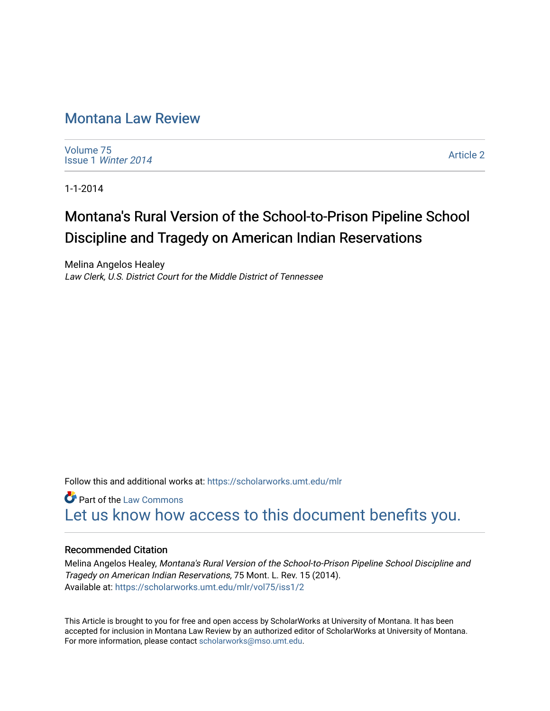# [Montana Law Review](https://scholarworks.umt.edu/mlr)

[Volume 75](https://scholarworks.umt.edu/mlr/vol75) Issue 1 [Winter 2014](https://scholarworks.umt.edu/mlr/vol75/iss1) 

[Article 2](https://scholarworks.umt.edu/mlr/vol75/iss1/2) 

1-1-2014

# Montana's Rural Version of the School-to-Prison Pipeline School Discipline and Tragedy on American Indian Reservations

Melina Angelos Healey Law Clerk, U.S. District Court for the Middle District of Tennessee

Follow this and additional works at: [https://scholarworks.umt.edu/mlr](https://scholarworks.umt.edu/mlr?utm_source=scholarworks.umt.edu%2Fmlr%2Fvol75%2Fiss1%2F2&utm_medium=PDF&utm_campaign=PDFCoverPages) 

**C** Part of the [Law Commons](http://network.bepress.com/hgg/discipline/578?utm_source=scholarworks.umt.edu%2Fmlr%2Fvol75%2Fiss1%2F2&utm_medium=PDF&utm_campaign=PDFCoverPages) [Let us know how access to this document benefits you.](https://goo.gl/forms/s2rGfXOLzz71qgsB2) 

# Recommended Citation

Melina Angelos Healey, Montana's Rural Version of the School-to-Prison Pipeline School Discipline and Tragedy on American Indian Reservations, 75 Mont. L. Rev. 15 (2014). Available at: [https://scholarworks.umt.edu/mlr/vol75/iss1/2](https://scholarworks.umt.edu/mlr/vol75/iss1/2?utm_source=scholarworks.umt.edu%2Fmlr%2Fvol75%2Fiss1%2F2&utm_medium=PDF&utm_campaign=PDFCoverPages) 

This Article is brought to you for free and open access by ScholarWorks at University of Montana. It has been accepted for inclusion in Montana Law Review by an authorized editor of ScholarWorks at University of Montana. For more information, please contact [scholarworks@mso.umt.edu.](mailto:scholarworks@mso.umt.edu)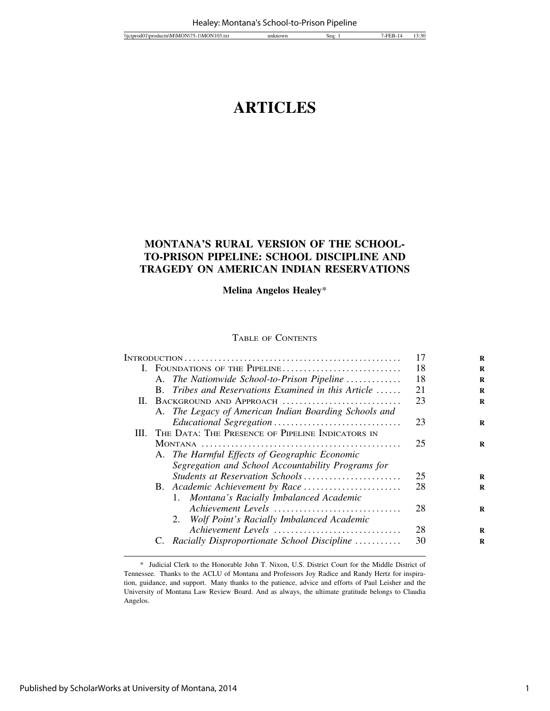# **ARTICLES**

# **MONTANA'S RURAL VERSION OF THE SCHOOL-TO-PRISON PIPELINE: SCHOOL DISCIPLINE AND TRAGEDY ON AMERICAN INDIAN RESERVATIONS**

**Melina Angelos Healey**\*

# TABLE OF CONTENTS

|  |                                                                   | 17 | R |
|--|-------------------------------------------------------------------|----|---|
|  | I. FOUNDATIONS OF THE PIPELINE                                    | 18 | R |
|  | A. The Nationwide School-to-Prison Pipeline                       | 18 | R |
|  | Tribes and Reservations Examined in this Article $\ldots$ .<br>B. | 21 | R |
|  | II. BACKGROUND AND APPROACH                                       | 23 | R |
|  | A. The Legacy of American Indian Boarding Schools and             |    |   |
|  |                                                                   | 23 | R |
|  | III. THE DATA: THE PRESENCE OF PIPELINE INDICATORS IN             |    |   |
|  |                                                                   | 25 | R |
|  | A. The Harmful Effects of Geographic Economic                     |    |   |
|  | Segregation and School Accountability Programs for                |    |   |
|  | Students at Reservation Schools                                   | 25 | R |
|  |                                                                   | 28 | R |
|  | 1. Montana's Racially Imbalanced Academic                         |    |   |
|  | Achievement Levels                                                | 28 | R |
|  | 2. Wolf Point's Racially Imbalanced Academic                      |    |   |
|  | Achievement Levels                                                | 28 | R |
|  | C. Racially Disproportionate School Discipline                    | 30 | R |
|  |                                                                   |    |   |

<sup>\*</sup> Judicial Clerk to the Honorable John T. Nixon, U.S. District Court for the Middle District of Tennessee. Thanks to the ACLU of Montana and Professors Joy Radice and Randy Hertz for inspiration, guidance, and support. Many thanks to the patience, advice and efforts of Paul Leisher and the University of Montana Law Review Board. And as always, the ultimate gratitude belongs to Claudia Angelos.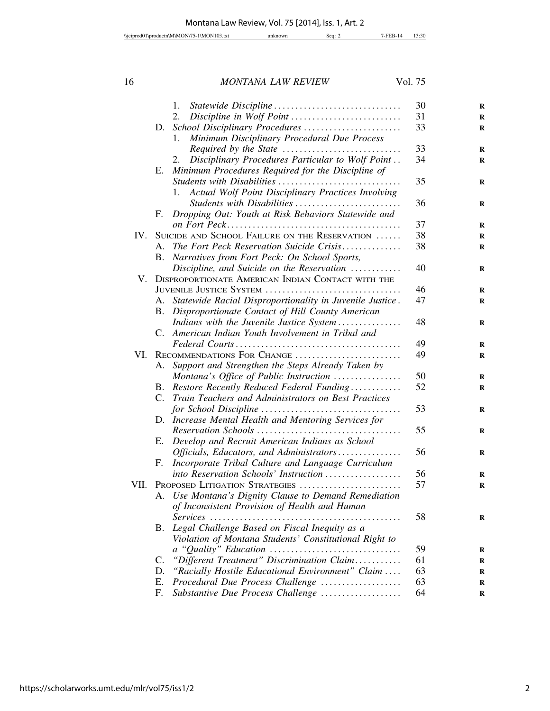|      |             | 1.                                                          | 30 | $\bf R$ |
|------|-------------|-------------------------------------------------------------|----|---------|
|      |             | 2.<br>Discipline in Wolf Point                              | 31 | R       |
|      | D.          |                                                             | 33 | $\bf R$ |
|      |             | Minimum Disciplinary Procedural Due Process<br>1.           |    |         |
|      |             |                                                             | 33 | $\bf R$ |
|      |             | Disciplinary Procedures Particular to Wolf Point<br>2.      | 34 | R       |
|      | Е.          | Minimum Procedures Required for the Discipline of           |    |         |
|      |             | Students with Disabilities                                  | 35 | R       |
|      |             | Actual Wolf Point Disciplinary Practices Involving<br>1.    |    |         |
|      |             | Students with Disabilities                                  | 36 | R       |
|      | F.          | Dropping Out: Youth at Risk Behaviors Statewide and         |    |         |
|      |             |                                                             | 37 | R       |
| IV.  |             | SUICIDE AND SCHOOL FAILURE ON THE RESERVATION               | 38 | R       |
|      |             | A. The Fort Peck Reservation Suicide Crisis                 | 38 | R       |
|      |             | B. Narratives from Fort Peck: On School Sports,             |    |         |
|      |             | Discipline, and Suicide on the Reservation                  | 40 | R       |
| V.   |             | DISPROPORTIONATE AMERICAN INDIAN CONTACT WITH THE           |    |         |
|      |             | JUVENILE JUSTICE SYSTEM                                     | 46 | R       |
|      |             | A. Statewide Racial Disproportionality in Juvenile Justice. | 47 | R       |
|      |             | B. Disproportionate Contact of Hill County American         |    |         |
|      |             | Indians with the Juvenile Justice System                    | 48 | R       |
|      |             | C. American Indian Youth Involvement in Tribal and          |    |         |
|      |             |                                                             | 49 | R       |
| VI.  |             | RECOMMENDATIONS FOR CHANGE                                  | 49 | $\bf R$ |
|      | А.          | Support and Strengthen the Steps Already Taken by           |    |         |
|      |             | Montana's Office of Public Instruction                      | 50 | R       |
|      | B.          | Restore Recently Reduced Federal Funding                    | 52 | R       |
|      | $C_{\cdot}$ | Train Teachers and Administrators on Best Practices         |    |         |
|      |             |                                                             | 53 | R       |
|      |             | D. Increase Mental Health and Mentoring Services for        |    |         |
|      |             |                                                             | 55 | R       |
|      | Е.          | Develop and Recruit American Indians as School              |    |         |
|      |             | Officials, Educators, and Administrators                    | 56 | R       |
|      | F.          | Incorporate Tribal Culture and Language Curriculum          |    |         |
|      |             | into Reservation Schools' Instruction                       | 56 |         |
| VII. |             | PROPOSED LITIGATION STRATEGIES                              | 57 | R       |
|      |             | A. Use Montana's Dignity Clause to Demand Remediation       |    | R       |
|      |             | of Inconsistent Provision of Health and Human               |    |         |
|      |             | $Services$                                                  | 58 |         |
|      |             | Legal Challenge Based on Fiscal Inequity as a               |    | R       |
|      | <b>B.</b>   |                                                             |    |         |
|      |             | Violation of Montana Students' Constitutional Right to      |    |         |
|      |             |                                                             | 59 | R       |
|      | C.          | "Different Treatment" Discrimination Claim                  | 61 | R       |
|      | D.          | "Racially Hostile Educational Environment" Claim            | 63 | R       |
|      | Ε.          | Procedural Due Process Challenge                            | 63 | R       |
|      | F.          | Substantive Due Process Challenge                           | 64 | R       |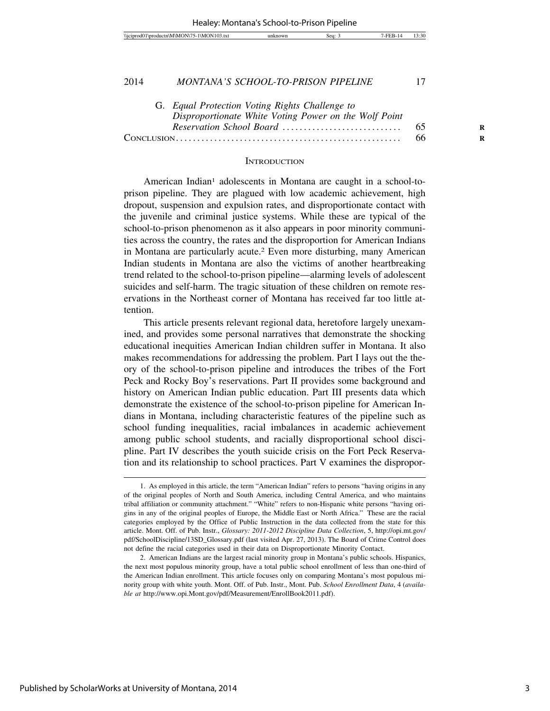| 7.409<br><i>Nicipr</i><br>I \M<br>'N<br>A www.<br>AM'<br>оан<br>10 <i>5.</i> UXL<br>٠. | sea | 2.20<br>الت: ڈ ، |
|----------------------------------------------------------------------------------------|-----|------------------|
|                                                                                        |     |                  |

| G. Equal Protection Voting Rights Challenge to        |   |
|-------------------------------------------------------|---|
| Disproportionate White Voting Power on the Wolf Point |   |
|                                                       | R |
|                                                       | R |

#### **INTRODUCTION**

American Indian<sup>1</sup> adolescents in Montana are caught in a school-toprison pipeline. They are plagued with low academic achievement, high dropout, suspension and expulsion rates, and disproportionate contact with the juvenile and criminal justice systems. While these are typical of the school-to-prison phenomenon as it also appears in poor minority communities across the country, the rates and the disproportion for American Indians in Montana are particularly acute.2 Even more disturbing, many American Indian students in Montana are also the victims of another heartbreaking trend related to the school-to-prison pipeline—alarming levels of adolescent suicides and self-harm. The tragic situation of these children on remote reservations in the Northeast corner of Montana has received far too little attention.

This article presents relevant regional data, heretofore largely unexamined, and provides some personal narratives that demonstrate the shocking educational inequities American Indian children suffer in Montana. It also makes recommendations for addressing the problem. Part I lays out the theory of the school-to-prison pipeline and introduces the tribes of the Fort Peck and Rocky Boy's reservations. Part II provides some background and history on American Indian public education. Part III presents data which demonstrate the existence of the school-to-prison pipeline for American Indians in Montana, including characteristic features of the pipeline such as school funding inequalities, racial imbalances in academic achievement among public school students, and racially disproportional school discipline. Part IV describes the youth suicide crisis on the Fort Peck Reservation and its relationship to school practices. Part V examines the dispropor-

<sup>1.</sup> As employed in this article, the term "American Indian" refers to persons "having origins in any of the original peoples of North and South America, including Central America, and who maintains tribal affiliation or community attachment." "White" refers to non-Hispanic white persons "having origins in any of the original peoples of Europe, the Middle East or North Africa." These are the racial categories employed by the Office of Public Instruction in the data collected from the state for this article. Mont. Off. of Pub. Instr., *Glossary: 2011-2012 Discipline Data Collection*, 5, http://opi.mt.gov/ pdf/SchoolDiscipline/13SD\_Glossary.pdf (last visited Apr. 27, 2013). The Board of Crime Control does not define the racial categories used in their data on Disproportionate Minority Contact.

<sup>2.</sup> American Indians are the largest racial minority group in Montana's public schools. Hispanics, the next most populous minority group, have a total public school enrollment of less than one-third of the American Indian enrollment. This article focuses only on comparing Montana's most populous minority group with white youth. Mont. Off. of Pub. Instr., Mont. Pub. *School Enrollment Data*, 4 (*available at* http://www.opi.Mont.gov/pdf/Measurement/EnrollBook2011.pdf).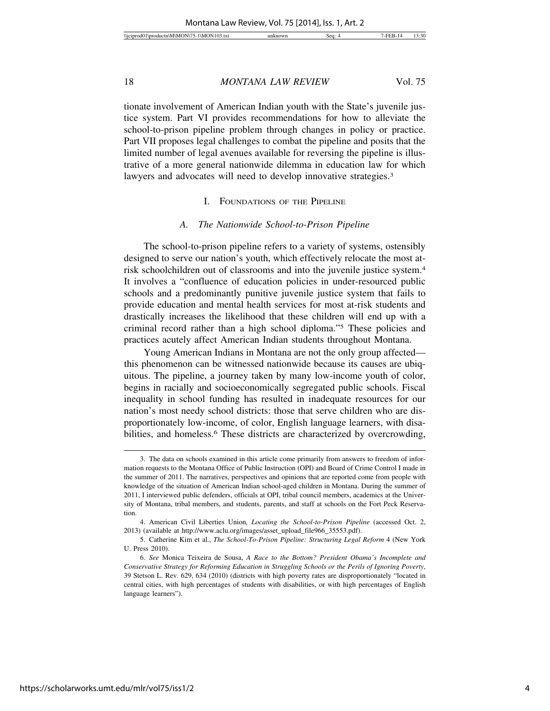tionate involvement of American Indian youth with the State's juvenile justice system. Part VI provides recommendations for how to alleviate the school-to-prison pipeline problem through changes in policy or practice. Part VII proposes legal challenges to combat the pipeline and posits that the limited number of legal avenues available for reversing the pipeline is illustrative of a more general nationwide dilemma in education law for which lawyers and advocates will need to develop innovative strategies.<sup>3</sup>

# I. FOUNDATIONS OF THE PIPELINE

#### *A. The Nationwide School-to-Prison Pipeline*

The school-to-prison pipeline refers to a variety of systems, ostensibly designed to serve our nation's youth, which effectively relocate the most atrisk schoolchildren out of classrooms and into the juvenile justice system.4 It involves a "confluence of education policies in under-resourced public schools and a predominantly punitive juvenile justice system that fails to provide education and mental health services for most at-risk students and drastically increases the likelihood that these children will end up with a criminal record rather than a high school diploma."5 These policies and practices acutely affect American Indian students throughout Montana.

Young American Indians in Montana are not the only group affected this phenomenon can be witnessed nationwide because its causes are ubiquitous. The pipeline, a journey taken by many low-income youth of color, begins in racially and socioeconomically segregated public schools. Fiscal inequality in school funding has resulted in inadequate resources for our nation's most needy school districts: those that serve children who are disproportionately low-income, of color, English language learners, with disabilities, and homeless.<sup>6</sup> These districts are characterized by overcrowding,

<sup>3.</sup> The data on schools examined in this article come primarily from answers to freedom of information requests to the Montana Office of Public Instruction (OPI) and Board of Crime Control I made in the summer of 2011. The narratives, perspectives and opinions that are reported come from people with knowledge of the situation of American Indian school-aged children in Montana. During the summer of 2011, I interviewed public defenders, officials at OPI, tribal council members, academics at the University of Montana, tribal members, and students, parents, and staff at schools on the Fort Peck Reservation.

<sup>4.</sup> American Civil Liberties Union*, Locating the School-to-Prison Pipeline* (accessed Oct. 2, 2013) (available at http://www.aclu.org/images/asset\_upload\_file966\_35553.pdf).

<sup>5.</sup> Catherine Kim et al., *The School-To-Prison Pipeline: Structuring Legal Reform* 4 (New York U. Press 2010).

<sup>6.</sup> *See* Monica Teixeira de Sousa, *A Race to the Bottom? President Obama's Incomplete and Conservative Strategy for Reforming Education in Struggling Schools or the Perils of Ignoring Poverty*, 39 Stetson L. Rev. 629, 634 (2010) (districts with high poverty rates are disproportionately "located in central cities, with high percentages of students with disabilities, or with high percentages of English language learners").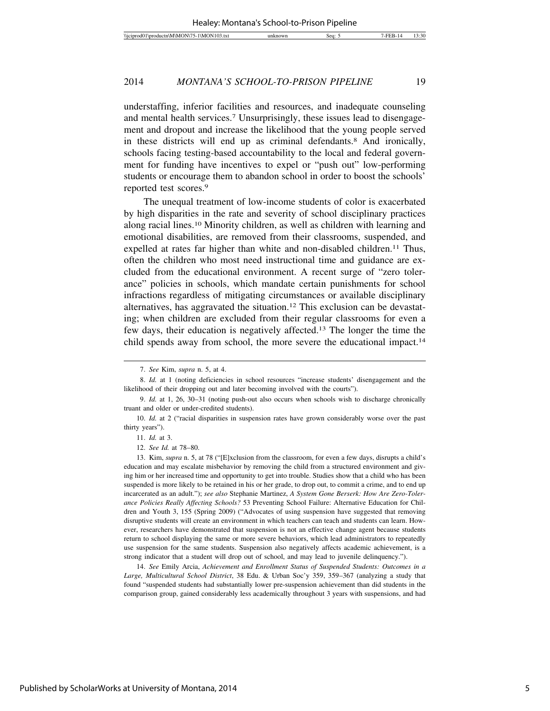understaffing, inferior facilities and resources, and inadequate counseling and mental health services.7 Unsurprisingly, these issues lead to disengagement and dropout and increase the likelihood that the young people served in these districts will end up as criminal defendants.8 And ironically, schools facing testing-based accountability to the local and federal government for funding have incentives to expel or "push out" low-performing students or encourage them to abandon school in order to boost the schools' reported test scores.9

The unequal treatment of low-income students of color is exacerbated by high disparities in the rate and severity of school disciplinary practices along racial lines.10 Minority children, as well as children with learning and emotional disabilities, are removed from their classrooms, suspended, and expelled at rates far higher than white and non-disabled children.<sup>11</sup> Thus, often the children who most need instructional time and guidance are excluded from the educational environment. A recent surge of "zero tolerance" policies in schools, which mandate certain punishments for school infractions regardless of mitigating circumstances or available disciplinary alternatives, has aggravated the situation.12 This exclusion can be devastating; when children are excluded from their regular classrooms for even a few days, their education is negatively affected.13 The longer the time the child spends away from school, the more severe the educational impact.<sup>14</sup>

14. *See* Emily Arcia, *Achievement and Enrollment Status of Suspended Students: Outcomes in a Large, Multicultural School District*, 38 Edu. & Urban Soc'y 359, 359–367 (analyzing a study that found "suspended students had substantially lower pre-suspension achievement than did students in the comparison group, gained considerably less academically throughout 3 years with suspensions, and had

<sup>7.</sup> *See* Kim, *supra* n. 5, at 4.

<sup>8.</sup> *Id.* at 1 (noting deficiencies in school resources "increase students' disengagement and the likelihood of their dropping out and later becoming involved with the courts").

<sup>9.</sup> *Id.* at 1, 26, 30–31 (noting push-out also occurs when schools wish to discharge chronically truant and older or under-credited students).

<sup>10.</sup> *Id.* at 2 ("racial disparities in suspension rates have grown considerably worse over the past thirty years").

<sup>11.</sup> *Id.* at 3.

<sup>12.</sup> *See Id.* at 78–80.

<sup>13.</sup> Kim, *supra* n. 5, at 78 ("[E]xclusion from the classroom, for even a few days, disrupts a child's education and may escalate misbehavior by removing the child from a structured environment and giving him or her increased time and opportunity to get into trouble. Studies show that a child who has been suspended is more likely to be retained in his or her grade, to drop out, to commit a crime, and to end up incarcerated as an adult."); *see also* Stephanie Martinez, *A System Gone Berserk: How Are Zero-Tolerance Policies Really Affecting Schools?* 53 Preventing School Failure: Alternative Education for Children and Youth 3, 155 (Spring 2009) ("Advocates of using suspension have suggested that removing disruptive students will create an environment in which teachers can teach and students can learn. However, researchers have demonstrated that suspension is not an effective change agent because students return to school displaying the same or more severe behaviors, which lead administrators to repeatedly use suspension for the same students. Suspension also negatively affects academic achievement, is a strong indicator that a student will drop out of school, and may lead to juvenile delinquency.").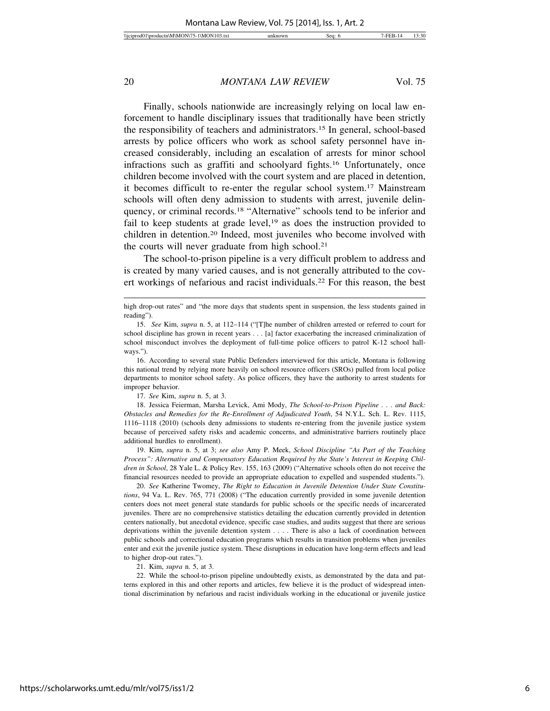Finally, schools nationwide are increasingly relying on local law enforcement to handle disciplinary issues that traditionally have been strictly the responsibility of teachers and administrators.15 In general, school-based arrests by police officers who work as school safety personnel have increased considerably, including an escalation of arrests for minor school infractions such as graffiti and schoolyard fights.16 Unfortunately, once children become involved with the court system and are placed in detention, it becomes difficult to re-enter the regular school system.17 Mainstream schools will often deny admission to students with arrest, juvenile delinquency, or criminal records.18 "Alternative" schools tend to be inferior and fail to keep students at grade level,<sup>19</sup> as does the instruction provided to children in detention.20 Indeed, most juveniles who become involved with the courts will never graduate from high school.<sup>21</sup>

The school-to-prison pipeline is a very difficult problem to address and is created by many varied causes, and is not generally attributed to the covert workings of nefarious and racist individuals.22 For this reason, the best

16. According to several state Public Defenders interviewed for this article, Montana is following this national trend by relying more heavily on school resource officers (SROs) pulled from local police departments to monitor school safety. As police officers, they have the authority to arrest students for improper behavior.

17. *See* Kim, *supra* n. 5, at 3.

18. Jessica Feierman, Marsha Levick, Ami Mody, *The School-to-Prison Pipeline . . . and Back: Obstacles and Remedies for the Re-Enrollment of Adjudicated Youth*, 54 N.Y.L. Sch. L. Rev. 1115, 1116–1118 (2010) (schools deny admissions to students re-entering from the juvenile justice system because of perceived safety risks and academic concerns, and administrative barriers routinely place additional hurdles to enrollment).

19. Kim, *supra* n. 5, at 3; *see also* Amy P. Meek, *School Discipline "As Part of the Teaching Process": Alternative and Compensatory Education Required by the State's Interest in Keeping Children in School*, 28 Yale L. & Policy Rev. 155, 163 (2009) ("Alternative schools often do not receive the financial resources needed to provide an appropriate education to expelled and suspended students.").

20. *See* Katherine Twomey, *The Right to Education in Juvenile Detention Under State Constitutions*, 94 Va. L. Rev. 765, 771 (2008) ("The education currently provided in some juvenile detention centers does not meet general state standards for public schools or the specific needs of incarcerated juveniles. There are no comprehensive statistics detailing the education currently provided in detention centers nationally, but anecdotal evidence, specific case studies, and audits suggest that there are serious deprivations within the juvenile detention system . . . . There is also a lack of coordination between public schools and correctional education programs which results in transition problems when juveniles enter and exit the juvenile justice system. These disruptions in education have long-term effects and lead to higher drop-out rates.").

21. Kim, *supra* n. 5, at 3.

22. While the school-to-prison pipeline undoubtedly exists, as demonstrated by the data and patterns explored in this and other reports and articles, few believe it is the product of widespread intentional discrimination by nefarious and racist individuals working in the educational or juvenile justice

high drop-out rates" and "the more days that students spent in suspension, the less students gained in reading").

<sup>15.</sup> *See* Kim, *supra* n. 5, at 112–114 ("[T]he number of children arrested or referred to court for school discipline has grown in recent years . . . [a] factor exacerbating the increased criminalization of school misconduct involves the deployment of full-time police officers to patrol K-12 school hallways.").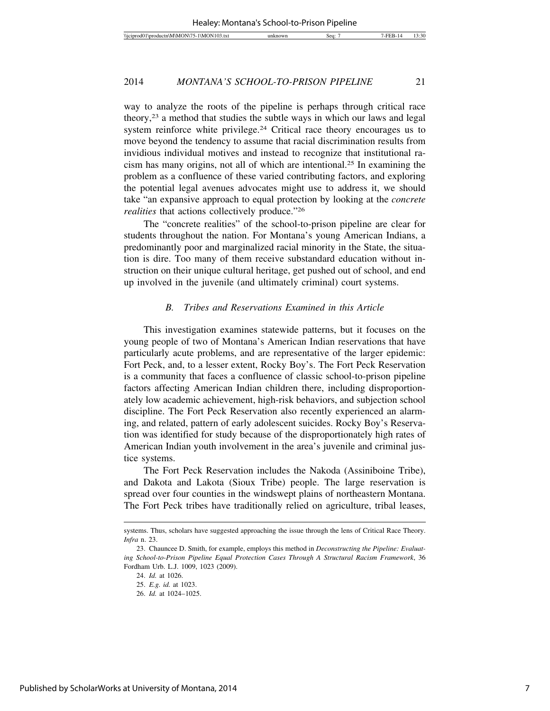way to analyze the roots of the pipeline is perhaps through critical race theory,23 a method that studies the subtle ways in which our laws and legal system reinforce white privilege.<sup>24</sup> Critical race theory encourages us to move beyond the tendency to assume that racial discrimination results from invidious individual motives and instead to recognize that institutional racism has many origins, not all of which are intentional.25 In examining the problem as a confluence of these varied contributing factors, and exploring the potential legal avenues advocates might use to address it, we should take "an expansive approach to equal protection by looking at the *concrete realities* that actions collectively produce."26

The "concrete realities" of the school-to-prison pipeline are clear for students throughout the nation. For Montana's young American Indians, a predominantly poor and marginalized racial minority in the State, the situation is dire. Too many of them receive substandard education without instruction on their unique cultural heritage, get pushed out of school, and end up involved in the juvenile (and ultimately criminal) court systems.

#### *B. Tribes and Reservations Examined in this Article*

This investigation examines statewide patterns, but it focuses on the young people of two of Montana's American Indian reservations that have particularly acute problems, and are representative of the larger epidemic: Fort Peck, and, to a lesser extent, Rocky Boy's. The Fort Peck Reservation is a community that faces a confluence of classic school-to-prison pipeline factors affecting American Indian children there, including disproportionately low academic achievement, high-risk behaviors, and subjection school discipline. The Fort Peck Reservation also recently experienced an alarming, and related, pattern of early adolescent suicides. Rocky Boy's Reservation was identified for study because of the disproportionately high rates of American Indian youth involvement in the area's juvenile and criminal justice systems.

The Fort Peck Reservation includes the Nakoda (Assiniboine Tribe), and Dakota and Lakota (Sioux Tribe) people. The large reservation is spread over four counties in the windswept plains of northeastern Montana. The Fort Peck tribes have traditionally relied on agriculture, tribal leases,

systems. Thus, scholars have suggested approaching the issue through the lens of Critical Race Theory. *Infra* n. 23.

<sup>23.</sup> Chauncee D. Smith, for example, employs this method in *Deconstructing the Pipeline: Evaluating School-to-Prison Pipeline Equal Protection Cases Through A Structural Racism Framework*, 36 Fordham Urb. L.J. 1009, 1023 (2009).

<sup>24.</sup> *Id.* at 1026.

<sup>25.</sup> *E.g. id.* at 1023.

<sup>26.</sup> *Id.* at 1024–1025.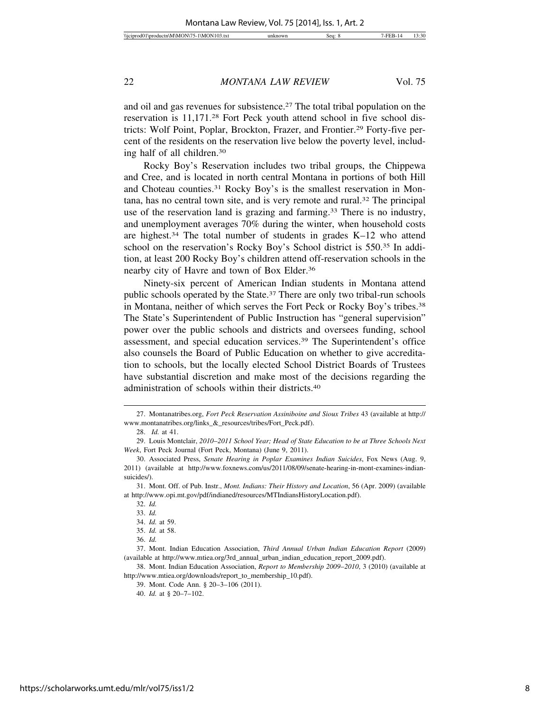and oil and gas revenues for subsistence.27 The total tribal population on the reservation is 11,171.28 Fort Peck youth attend school in five school districts: Wolf Point, Poplar, Brockton, Frazer, and Frontier.29 Forty-five percent of the residents on the reservation live below the poverty level, including half of all children.30

Rocky Boy's Reservation includes two tribal groups, the Chippewa and Cree, and is located in north central Montana in portions of both Hill and Choteau counties.31 Rocky Boy's is the smallest reservation in Montana, has no central town site, and is very remote and rural.32 The principal use of the reservation land is grazing and farming.<sup>33</sup> There is no industry, and unemployment averages 70% during the winter, when household costs are highest.34 The total number of students in grades K–12 who attend school on the reservation's Rocky Boy's School district is 550.35 In addition, at least 200 Rocky Boy's children attend off-reservation schools in the nearby city of Havre and town of Box Elder.36

Ninety-six percent of American Indian students in Montana attend public schools operated by the State.37 There are only two tribal-run schools in Montana, neither of which serves the Fort Peck or Rocky Boy's tribes.38 The State's Superintendent of Public Instruction has "general supervision" power over the public schools and districts and oversees funding, school assessment, and special education services.39 The Superintendent's office also counsels the Board of Public Education on whether to give accreditation to schools, but the locally elected School District Boards of Trustees have substantial discretion and make most of the decisions regarding the administration of schools within their districts.40

<sup>27.</sup> Montanatribes.org, *Fort Peck Reservation Assiniboine and Sioux Tribes* 43 (available at http:// www.montanatribes.org/links\_&\_resources/tribes/Fort\_Peck.pdf).

<sup>28.</sup> *Id.* at 41.

<sup>29.</sup> Louis Montclair, *2010*–*2011 School Year; Head of State Education to be at Three Schools Next Week*, Fort Peck Journal (Fort Peck, Montana) (June 9, 2011).

<sup>30.</sup> Associated Press, *Senate Hearing in Poplar Examines Indian Suicides*, Fox News (Aug. 9, 2011) (available at http://www.foxnews.com/us/2011/08/09/senate-hearing-in-mont-examines-indiansuicides/).

<sup>31.</sup> Mont. Off. of Pub. Instr., *Mont. Indians: Their History and Location*, 56 (Apr. 2009) (available at http://www.opi.mt.gov/pdf/indianed/resources/MTIndiansHistoryLocation.pdf).

<sup>32.</sup> *Id.*

<sup>33.</sup> *Id.*

<sup>34.</sup> *Id.* at 59.

<sup>35.</sup> *Id.* at 58.

<sup>36.</sup> *Id.*

<sup>37.</sup> Mont. Indian Education Association, *Third Annual Urban Indian Education Report* (2009) (available at http://www.mtiea.org/3rd\_annual\_urban\_indian\_education\_report\_2009.pdf).

<sup>38.</sup> Mont. Indian Education Association, *Report to Membership 2009*–*2010*, 3 (2010) (available at http://www.mtiea.org/downloads/report\_to\_membership\_10.pdf).

<sup>39.</sup> Mont. Code Ann. § 20–3–106 (2011).

<sup>40.</sup> *Id.* at § 20–7–102.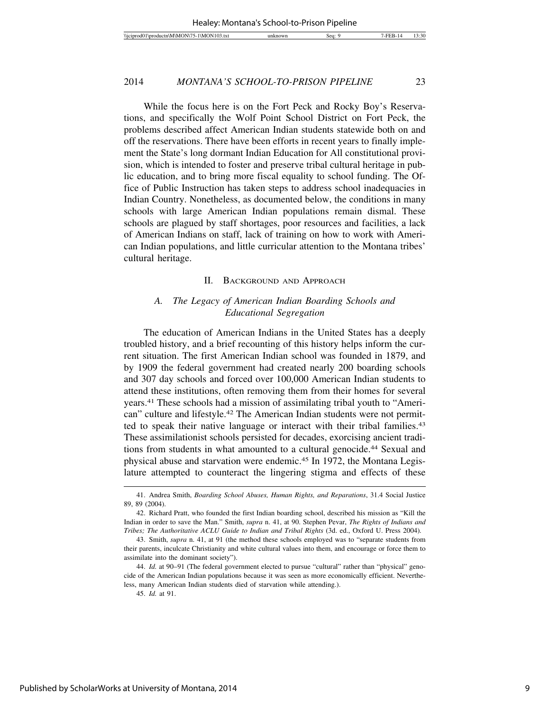While the focus here is on the Fort Peck and Rocky Boy's Reservations, and specifically the Wolf Point School District on Fort Peck, the problems described affect American Indian students statewide both on and off the reservations. There have been efforts in recent years to finally implement the State's long dormant Indian Education for All constitutional provision, which is intended to foster and preserve tribal cultural heritage in public education, and to bring more fiscal equality to school funding. The Office of Public Instruction has taken steps to address school inadequacies in Indian Country. Nonetheless, as documented below, the conditions in many schools with large American Indian populations remain dismal. These schools are plagued by staff shortages, poor resources and facilities, a lack of American Indians on staff, lack of training on how to work with American Indian populations, and little curricular attention to the Montana tribes' cultural heritage.

#### II. BACKGROUND AND APPROACH

# *A. The Legacy of American Indian Boarding Schools and Educational Segregation*

The education of American Indians in the United States has a deeply troubled history, and a brief recounting of this history helps inform the current situation. The first American Indian school was founded in 1879, and by 1909 the federal government had created nearly 200 boarding schools and 307 day schools and forced over 100,000 American Indian students to attend these institutions, often removing them from their homes for several years.41 These schools had a mission of assimilating tribal youth to "American" culture and lifestyle.42 The American Indian students were not permitted to speak their native language or interact with their tribal families.<sup>43</sup> These assimilationist schools persisted for decades, exorcising ancient traditions from students in what amounted to a cultural genocide.44 Sexual and physical abuse and starvation were endemic.45 In 1972, the Montana Legislature attempted to counteract the lingering stigma and effects of these

<sup>41.</sup> Andrea Smith, *Boarding School Abuses, Human Rights, and Reparations*, 31.4 Social Justice 89, 89 (2004).

<sup>42.</sup> Richard Pratt, who founded the first Indian boarding school, described his mission as "Kill the Indian in order to save the Man." Smith, *supra* n. 41, at 90. Stephen Pevar, *The Rights of Indians and Tribes; The Authoritative ACLU Guide to Indian and Tribal Rights* (3d. ed., Oxford U. Press 2004)*.*

<sup>43.</sup> Smith, *supra* n. 41, at 91 (the method these schools employed was to "separate students from their parents, inculcate Christianity and white cultural values into them, and encourage or force them to assimilate into the dominant society").

<sup>44.</sup> *Id.* at 90–91 (The federal government elected to pursue "cultural" rather than "physical" genocide of the American Indian populations because it was seen as more economically efficient. Nevertheless, many American Indian students died of starvation while attending.).

<sup>45.</sup> *Id.* at 91.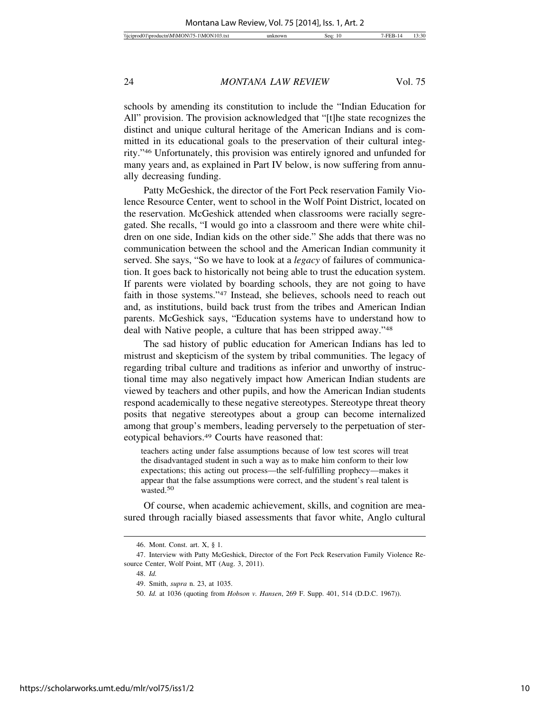schools by amending its constitution to include the "Indian Education for All" provision. The provision acknowledged that "[t]he state recognizes the distinct and unique cultural heritage of the American Indians and is committed in its educational goals to the preservation of their cultural integrity."46 Unfortunately, this provision was entirely ignored and unfunded for many years and, as explained in Part IV below, is now suffering from annually decreasing funding.

Patty McGeshick, the director of the Fort Peck reservation Family Violence Resource Center, went to school in the Wolf Point District, located on the reservation. McGeshick attended when classrooms were racially segregated. She recalls, "I would go into a classroom and there were white children on one side, Indian kids on the other side." She adds that there was no communication between the school and the American Indian community it served. She says, "So we have to look at a *legacy* of failures of communication. It goes back to historically not being able to trust the education system. If parents were violated by boarding schools, they are not going to have faith in those systems."47 Instead, she believes, schools need to reach out and, as institutions, build back trust from the tribes and American Indian parents. McGeshick says, "Education systems have to understand how to deal with Native people, a culture that has been stripped away."48

The sad history of public education for American Indians has led to mistrust and skepticism of the system by tribal communities. The legacy of regarding tribal culture and traditions as inferior and unworthy of instructional time may also negatively impact how American Indian students are viewed by teachers and other pupils, and how the American Indian students respond academically to these negative stereotypes. Stereotype threat theory posits that negative stereotypes about a group can become internalized among that group's members, leading perversely to the perpetuation of stereotypical behaviors.49 Courts have reasoned that:

teachers acting under false assumptions because of low test scores will treat the disadvantaged student in such a way as to make him conform to their low expectations; this acting out process—the self-fulfilling prophecy—makes it appear that the false assumptions were correct, and the student's real talent is wasted.<sup>50</sup>

Of course, when academic achievement, skills, and cognition are measured through racially biased assessments that favor white, Anglo cultural

<sup>46.</sup> Mont. Const. art. X, § 1.

<sup>47.</sup> Interview with Patty McGeshick, Director of the Fort Peck Reservation Family Violence Resource Center, Wolf Point, MT (Aug. 3, 2011).

<sup>48.</sup> *Id.*

<sup>49.</sup> Smith, *supra* n. 23, at 1035.

<sup>50.</sup> *Id.* at 1036 (quoting from *Hobson v. Hansen*, 269 F. Supp. 401, 514 (D.D.C. 1967)).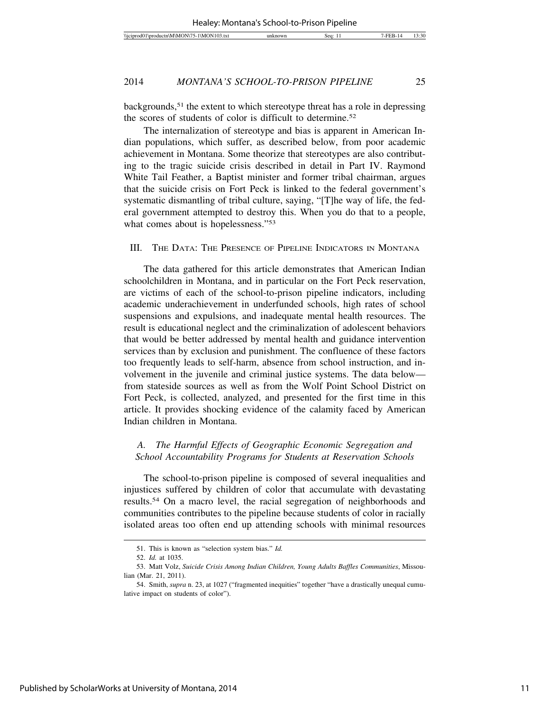backgrounds,51 the extent to which stereotype threat has a role in depressing the scores of students of color is difficult to determine.52

The internalization of stereotype and bias is apparent in American Indian populations, which suffer, as described below, from poor academic achievement in Montana. Some theorize that stereotypes are also contributing to the tragic suicide crisis described in detail in Part IV. Raymond White Tail Feather, a Baptist minister and former tribal chairman, argues that the suicide crisis on Fort Peck is linked to the federal government's systematic dismantling of tribal culture, saying, "[T]he way of life, the federal government attempted to destroy this. When you do that to a people, what comes about is hopelessness."<sup>53</sup>

# III. THE DATA: THE PRESENCE OF PIPELINE INDICATORS IN MONTANA

The data gathered for this article demonstrates that American Indian schoolchildren in Montana, and in particular on the Fort Peck reservation, are victims of each of the school-to-prison pipeline indicators, including academic underachievement in underfunded schools, high rates of school suspensions and expulsions, and inadequate mental health resources. The result is educational neglect and the criminalization of adolescent behaviors that would be better addressed by mental health and guidance intervention services than by exclusion and punishment. The confluence of these factors too frequently leads to self-harm, absence from school instruction, and involvement in the juvenile and criminal justice systems. The data below from stateside sources as well as from the Wolf Point School District on Fort Peck, is collected, analyzed, and presented for the first time in this article. It provides shocking evidence of the calamity faced by American Indian children in Montana.

# *A. The Harmful Effects of Geographic Economic Segregation and School Accountability Programs for Students at Reservation Schools*

The school-to-prison pipeline is composed of several inequalities and injustices suffered by children of color that accumulate with devastating results.54 On a macro level, the racial segregation of neighborhoods and communities contributes to the pipeline because students of color in racially isolated areas too often end up attending schools with minimal resources

<sup>51.</sup> This is known as "selection system bias." *Id.*

<sup>52.</sup> *Id.* at 1035.

<sup>53.</sup> Matt Volz, *Suicide Crisis Among Indian Children, Young Adults Baffles Communities*, Missoulian (Mar. 21, 2011).

<sup>54.</sup> Smith, *supra* n. 23, at 1027 ("fragmented inequities" together "have a drastically unequal cumulative impact on students of color").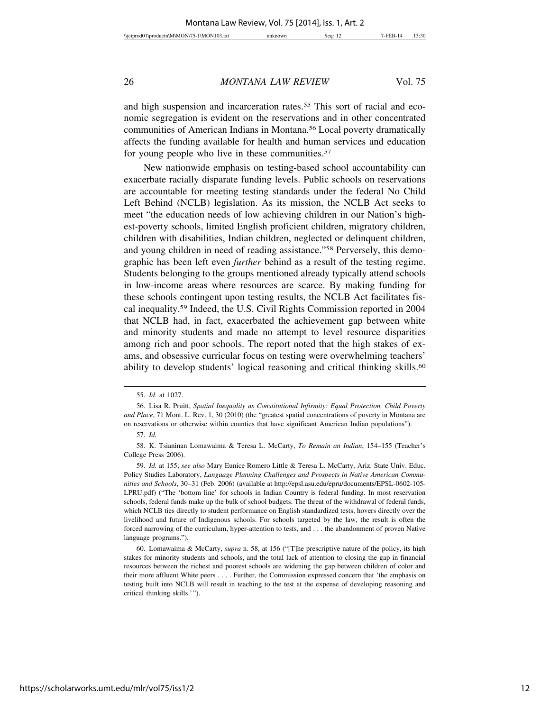and high suspension and incarceration rates.<sup>55</sup> This sort of racial and economic segregation is evident on the reservations and in other concentrated communities of American Indians in Montana.56 Local poverty dramatically affects the funding available for health and human services and education for young people who live in these communities.<sup>57</sup>

New nationwide emphasis on testing-based school accountability can exacerbate racially disparate funding levels. Public schools on reservations are accountable for meeting testing standards under the federal No Child Left Behind (NCLB) legislation. As its mission, the NCLB Act seeks to meet "the education needs of low achieving children in our Nation's highest-poverty schools, limited English proficient children, migratory children, children with disabilities, Indian children, neglected or delinquent children, and young children in need of reading assistance."58 Perversely, this demographic has been left even *further* behind as a result of the testing regime. Students belonging to the groups mentioned already typically attend schools in low-income areas where resources are scarce. By making funding for these schools contingent upon testing results, the NCLB Act facilitates fiscal inequality.59 Indeed, the U.S. Civil Rights Commission reported in 2004 that NCLB had, in fact, exacerbated the achievement gap between white and minority students and made no attempt to level resource disparities among rich and poor schools. The report noted that the high stakes of exams, and obsessive curricular focus on testing were overwhelming teachers' ability to develop students' logical reasoning and critical thinking skills.<sup>60</sup>

59. *Id.* at 155; *see also* Mary Eunice Romero Little & Teresa L. McCarty, Ariz. State Univ. Educ. Policy Studies Laboratory, *Language Planning Challenges and Prospects in Native American Communities and Schools*, 30–31 (Feb. 2006) (available at http://epsl.asu.edu/epru/documents/EPSL-0602-105- LPRU.pdf) ("The 'bottom line' for schools in Indian Country is federal funding. In most reservation schools, federal funds make up the bulk of school budgets. The threat of the withdrawal of federal funds, which NCLB ties directly to student performance on English standardized tests, hovers directly over the livelihood and future of Indigenous schools. For schools targeted by the law, the result is often the forced narrowing of the curriculum, hyper-attention to tests, and . . . the abandonment of proven Native language programs.").

60. Lomawaima & McCarty, *supra* n. 58, at 156 ("[T]he prescriptive nature of the policy, its high stakes for minority students and schools, and the total lack of attention to closing the gap in financial resources between the richest and poorest schools are widening the gap between children of color and their more affluent White peers . . . . Further, the Commission expressed concern that 'the emphasis on testing built into NCLB will result in teaching to the test at the expense of developing reasoning and critical thinking skills.'").

<sup>55.</sup> *Id.* at 1027.

<sup>56.</sup> Lisa R. Pruitt, *Spatial Inequality as Constitutional Infirmity: Equal Protection, Child Poverty and Place*, 71 Mont. L. Rev. 1, 30 (2010) (the "greatest spatial concentrations of poverty in Montana are on reservations or otherwise within counties that have significant American Indian populations").

<sup>57.</sup> *Id.*

<sup>58.</sup> K. Tsianinan Lomawaima & Teresa L. McCarty, *To Remain an Indian*, 154–155 (Teacher's College Press 2006).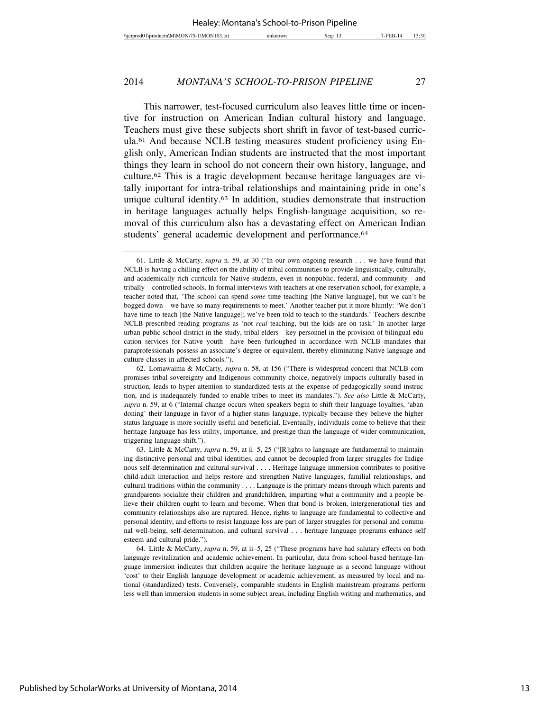This narrower, test-focused curriculum also leaves little time or incentive for instruction on American Indian cultural history and language. Teachers must give these subjects short shrift in favor of test-based curricula.61 And because NCLB testing measures student proficiency using English only, American Indian students are instructed that the most important things they learn in school do not concern their own history, language, and culture.62 This is a tragic development because heritage languages are vitally important for intra-tribal relationships and maintaining pride in one's unique cultural identity.63 In addition, studies demonstrate that instruction in heritage languages actually helps English-language acquisition, so removal of this curriculum also has a devastating effect on American Indian students' general academic development and performance.<sup>64</sup>

<sup>61.</sup> Little & McCarty, *supra* n. 59, at 30 ("In our own ongoing research . . . we have found that NCLB is having a chilling effect on the ability of tribal communities to provide linguistically, culturally, and academically rich curricula for Native students, even in nonpublic, federal, and community—and tribally—controlled schools. In formal interviews with teachers at one reservation school, for example, a teacher noted that, 'The school can spend *some* time teaching [the Native language], but we can't be bogged down—we have so many requirements to meet.' Another teacher put it more bluntly: 'We don't have time to teach [the Native language]; we've been told to teach to the standards.' Teachers describe NCLB-prescribed reading programs as 'not *real* teaching, but the kids are on task.' In another large urban public school district in the study, tribal elders—key personnel in the provision of bilingual education services for Native youth—have been furloughed in accordance with NCLB mandates that paraprofessionals possess an associate's degree or equivalent, thereby eliminating Native language and culture classes in affected schools.").

<sup>62.</sup> Lomawaima & McCarty, *supra* n. 58, at 156 ("There is widespread concern that NCLB compromises tribal sovereignty and Indigenous community choice, negatively impacts culturally based instruction, leads to hyper-attention to standardized tests at the expense of pedagogically sound instruction, and is inadequately funded to enable tribes to meet its mandates."). *See also* Little & McCarty, *supra* n. 59, at 6 ("Internal change occurs when speakers begin to shift their language loyalties, 'abandoning' their language in favor of a higher-status language, typically because they believe the higherstatus language is more socially useful and beneficial. Eventually, individuals come to believe that their heritage language has less utility, importance, and prestige than the language of wider communication, triggering language shift.").

<sup>63.</sup> Little & McCarty, *supra* n. 59, at ii–5, 25 ("[R]ights to language are fundamental to maintaining distinctive personal and tribal identities, and cannot be decoupled from larger struggles for Indigenous self-determination and cultural survival . . . . Heritage-language immersion contributes to positive child-adult interaction and helps restore and strengthen Native languages, familial relationships, and cultural traditions within the community . . . . Language is the primary means through which parents and grandparents socialize their children and grandchildren, imparting what a community and a people believe their children ought to learn and become. When that bond is broken, intergenerational ties and community relationships also are ruptured. Hence, rights to language are fundamental to collective and personal identity, and efforts to resist language loss are part of larger struggles for personal and communal well-being, self-determination, and cultural survival . . . heritage language programs enhance self esteem and cultural pride.").

<sup>64.</sup> Little & McCarty, *supra* n. 59, at ii–5, 25 ("These programs have had salutary effects on both language revitalization and academic achievement. In particular, data from school-based heritage-language immersion indicates that children acquire the heritage language as a second language without 'cost' to their English language development or academic achievement, as measured by local and national (standardized) tests. Conversely, comparable students in English mainstream programs perform less well than immersion students in some subject areas, including English writing and mathematics, and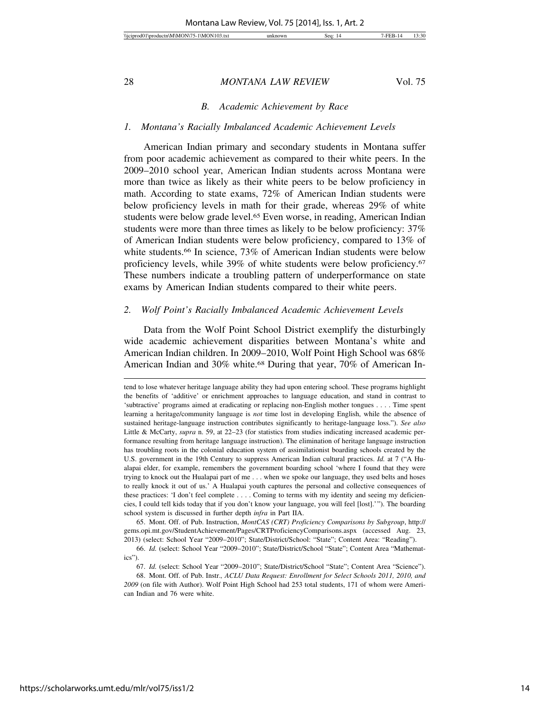#### *B. Academic Achievement by Race*

#### *1. Montana's Racially Imbalanced Academic Achievement Levels*

American Indian primary and secondary students in Montana suffer from poor academic achievement as compared to their white peers. In the 2009–2010 school year, American Indian students across Montana were more than twice as likely as their white peers to be below proficiency in math. According to state exams, 72% of American Indian students were below proficiency levels in math for their grade, whereas 29% of white students were below grade level.<sup>65</sup> Even worse, in reading, American Indian students were more than three times as likely to be below proficiency: 37% of American Indian students were below proficiency, compared to 13% of white students.<sup>66</sup> In science, 73% of American Indian students were below proficiency levels, while 39% of white students were below proficiency.67 These numbers indicate a troubling pattern of underperformance on state exams by American Indian students compared to their white peers.

#### *2. Wolf Point's Racially Imbalanced Academic Achievement Levels*

Data from the Wolf Point School District exemplify the disturbingly wide academic achievement disparities between Montana's white and American Indian children. In 2009–2010, Wolf Point High School was 68% American Indian and 30% white.<sup>68</sup> During that year, 70% of American In-

65. Mont. Off. of Pub. Instruction, *MontCAS (CRT) Proficiency Comparisons by Subgroup*, http:// gems.opi.mt.gov/StudentAchievement/Pages/CRTProficiencyComparisons.aspx (accessed Aug. 23, 2013) (select: School Year "2009–2010"; State/District/School: "State"; Content Area: "Reading").

tend to lose whatever heritage language ability they had upon entering school. These programs highlight the benefits of 'additive' or enrichment approaches to language education, and stand in contrast to 'subtractive' programs aimed at eradicating or replacing non-English mother tongues . . . . Time spent learning a heritage/community language is *not* time lost in developing English, while the absence of sustained heritage-language instruction contributes significantly to heritage-language loss."). *See also* Little & McCarty, *supra* n. 59, at 22–23 (for statistics from studies indicating increased academic performance resulting from heritage language instruction). The elimination of heritage language instruction has troubling roots in the colonial education system of assimilationist boarding schools created by the U.S. government in the 19th Century to suppress American Indian cultural practices. *Id.* at 7 ("A Hualapai elder, for example, remembers the government boarding school 'where I found that they were trying to knock out the Hualapai part of me . . . when we spoke our language, they used belts and hoses to really knock it out of us.' A Hualapai youth captures the personal and collective consequences of these practices: 'I don't feel complete . . . . Coming to terms with my identity and seeing my deficiencies, I could tell kids today that if you don't know your language, you will feel [lost].'"). The boarding school system is discussed in further depth *infra* in Part IIA.

<sup>66.</sup> *Id.* (select: School Year "2009–2010"; State/District/School "State"; Content Area "Mathematics").

<sup>67.</sup> *Id.* (select: School Year "2009–2010"; State/District/School "State"; Content Area "Science").

<sup>68.</sup> Mont. Off. of Pub. Instr.*, ACLU Data Request: Enrollment for Select Schools 2011, 2010, and 2009* (on file with Author). Wolf Point High School had 253 total students, 171 of whom were American Indian and 76 were white.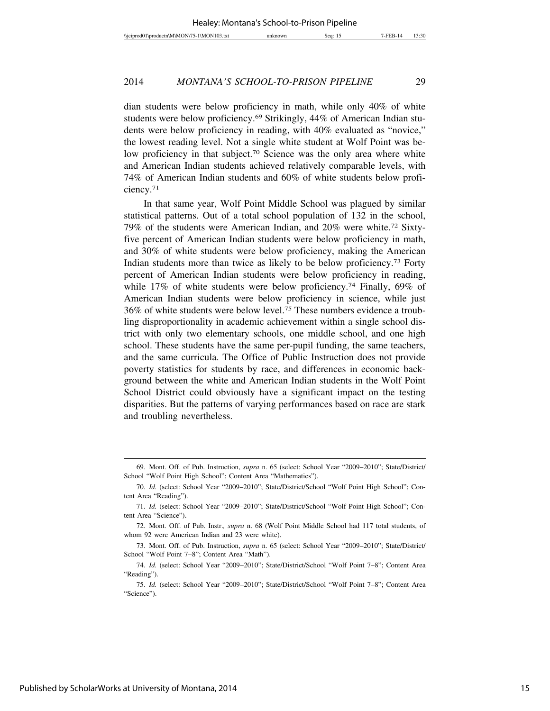dian students were below proficiency in math, while only 40% of white students were below proficiency.69 Strikingly, 44% of American Indian students were below proficiency in reading, with 40% evaluated as "novice," the lowest reading level. Not a single white student at Wolf Point was below proficiency in that subject.<sup>70</sup> Science was the only area where white and American Indian students achieved relatively comparable levels, with 74% of American Indian students and 60% of white students below proficiency.71

In that same year, Wolf Point Middle School was plagued by similar statistical patterns. Out of a total school population of 132 in the school, 79% of the students were American Indian, and 20% were white.72 Sixtyfive percent of American Indian students were below proficiency in math, and 30% of white students were below proficiency, making the American Indian students more than twice as likely to be below proficiency.73 Forty percent of American Indian students were below proficiency in reading, while 17% of white students were below proficiency.<sup>74</sup> Finally, 69% of American Indian students were below proficiency in science, while just 36% of white students were below level.75 These numbers evidence a troubling disproportionality in academic achievement within a single school district with only two elementary schools, one middle school, and one high school. These students have the same per-pupil funding, the same teachers, and the same curricula. The Office of Public Instruction does not provide poverty statistics for students by race, and differences in economic background between the white and American Indian students in the Wolf Point School District could obviously have a significant impact on the testing disparities. But the patterns of varying performances based on race are stark and troubling nevertheless.

<sup>69.</sup> Mont. Off. of Pub. Instruction, *supra* n. 65 (select: School Year "2009–2010"; State/District/ School "Wolf Point High School"; Content Area "Mathematics").

<sup>70.</sup> *Id.* (select: School Year "2009–2010"; State/District/School "Wolf Point High School"; Content Area "Reading").

<sup>71.</sup> *Id.* (select: School Year "2009–2010"; State/District/School "Wolf Point High School"; Content Area "Science").

<sup>72.</sup> Mont. Off. of Pub. Instr.*, supra* n. 68 (Wolf Point Middle School had 117 total students, of whom 92 were American Indian and 23 were white).

<sup>73.</sup> Mont. Off. of Pub. Instruction, *supra* n. 65 (select: School Year "2009–2010"; State/District/ School "Wolf Point 7–8"; Content Area "Math").

<sup>74.</sup> *Id.* (select: School Year "2009–2010"; State/District/School "Wolf Point 7–8"; Content Area "Reading").

<sup>75.</sup> *Id.* (select: School Year "2009–2010"; State/District/School "Wolf Point 7–8"; Content Area "Science").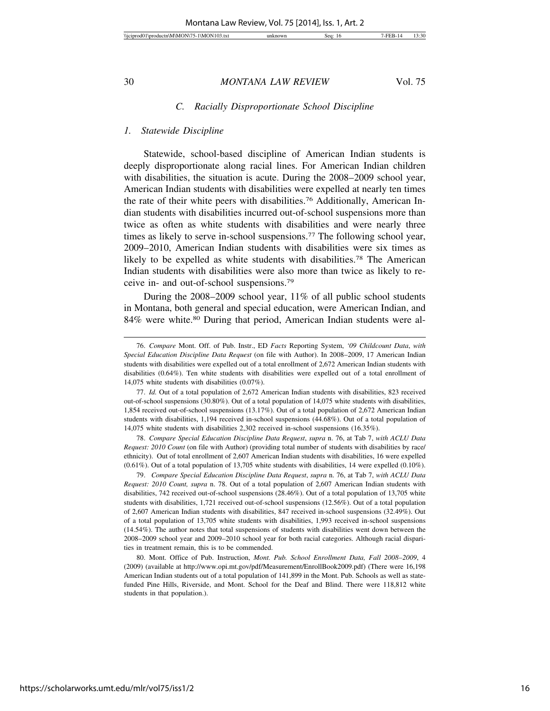#### *C. Racially Disproportionate School Discipline*

#### *1. Statewide Discipline*

Statewide, school-based discipline of American Indian students is deeply disproportionate along racial lines. For American Indian children with disabilities, the situation is acute. During the 2008–2009 school year, American Indian students with disabilities were expelled at nearly ten times the rate of their white peers with disabilities.76 Additionally, American Indian students with disabilities incurred out-of-school suspensions more than twice as often as white students with disabilities and were nearly three times as likely to serve in-school suspensions.77 The following school year, 2009–2010, American Indian students with disabilities were six times as likely to be expelled as white students with disabilities.78 The American Indian students with disabilities were also more than twice as likely to receive in- and out-of-school suspensions.79

During the 2008–2009 school year, 11% of all public school students in Montana, both general and special education, were American Indian, and 84% were white.80 During that period, American Indian students were al-

78. *Compare Special Education Discipline Data Request*, *supra* n. 76, at Tab 7, *with ACLU Data Request: 2010 Count* (on file with Author) (providing total number of students with disabilities by race/ ethnicity). Out of total enrollment of 2,607 American Indian students with disabilities, 16 were expelled (0.61%). Out of a total population of 13,705 white students with disabilities, 14 were expelled (0.10%).

79. *Compare Special Education Discipline Data Request*, *supra* n. 76, at Tab 7, *with ACLU Data Request: 2010 Count, supra* n. 78. Out of a total population of 2,607 American Indian students with disabilities, 742 received out-of-school suspensions (28.46%). Out of a total population of 13,705 white students with disabilities, 1,721 received out-of-school suspensions (12.56%). Out of a total population of 2,607 American Indian students with disabilities, 847 received in-school suspensions (32.49%). Out of a total population of 13,705 white students with disabilities, 1,993 received in-school suspensions (14.54%). The author notes that total suspensions of students with disabilities went down between the 2008–2009 school year and 2009–2010 school year for both racial categories. Although racial disparities in treatment remain, this is to be commended.

80. Mont. Office of Pub. Instruction, *Mont. Pub. School Enrollment Data, Fall 2008–2009*, 4 (2009) (available at http://www.opi.mt.gov/pdf/Measurement/EnrollBook2009.pdf) (There were 16,198 American Indian students out of a total population of 141,899 in the Mont. Pub. Schools as well as statefunded Pine Hills, Riverside, and Mont. School for the Deaf and Blind. There were 118,812 white students in that population.).

<sup>76.</sup> *Compare* Mont. Off. of Pub. Instr., ED *Facts* Reporting System, *'09 Childcount Data*, *with Special Education Discipline Data Request* (on file with Author). In 2008–2009, 17 American Indian students with disabilities were expelled out of a total enrollment of 2,672 American Indian students with disabilities (0.64%). Ten white students with disabilities were expelled out of a total enrollment of 14,075 white students with disabilities (0.07%).

<sup>77.</sup> *Id.* Out of a total population of 2,672 American Indian students with disabilities, 823 received out-of-school suspensions (30.80%). Out of a total population of 14,075 white students with disabilities, 1,854 received out-of-school suspensions (13.17%). Out of a total population of 2,672 American Indian students with disabilities, 1,194 received in-school suspensions (44.68%). Out of a total population of 14,075 white students with disabilities 2,302 received in-school suspensions (16.35%).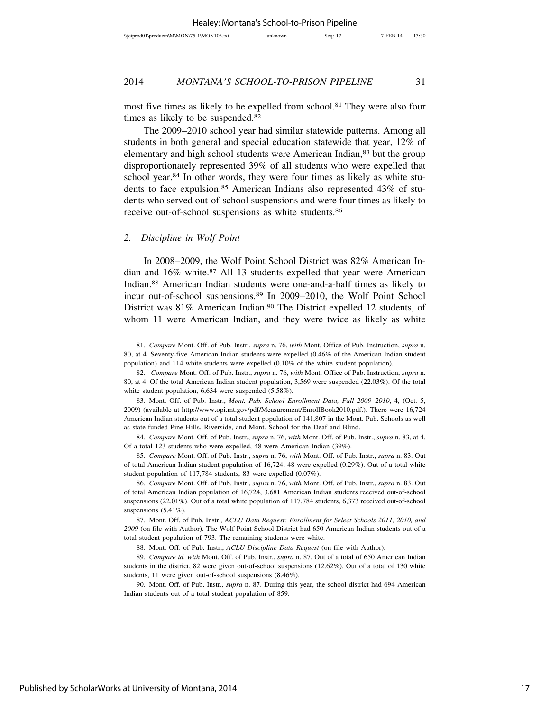most five times as likely to be expelled from school.<sup>81</sup> They were also four times as likely to be suspended.82

The 2009–2010 school year had similar statewide patterns. Among all students in both general and special education statewide that year, 12% of elementary and high school students were American Indian,<sup>83</sup> but the group disproportionately represented 39% of all students who were expelled that school year.<sup>84</sup> In other words, they were four times as likely as white students to face expulsion.<sup>85</sup> American Indians also represented 43% of students who served out-of-school suspensions and were four times as likely to receive out-of-school suspensions as white students.86

## *2. Discipline in Wolf Point*

In 2008–2009, the Wolf Point School District was 82% American Indian and 16% white.87 All 13 students expelled that year were American Indian.88 American Indian students were one-and-a-half times as likely to incur out-of-school suspensions.89 In 2009–2010, the Wolf Point School District was 81% American Indian.<sup>90</sup> The District expelled 12 students, of whom 11 were American Indian, and they were twice as likely as white

85. *Compare* Mont. Off. of Pub. Instr., *supra* n. 76, *with* Mont. Off. of Pub. Instr., *supra* n. 83. Out of total American Indian student population of 16,724, 48 were expelled (0.29%). Out of a total white student population of 117,784 students, 83 were expelled (0.07%).

86. *Compare* Mont. Off. of Pub. Instr., *supra* n. 76, *with* Mont. Off. of Pub. Instr., *supra* n. 83. Out of total American Indian population of 16,724, 3,681 American Indian students received out-of-school suspensions (22.01%). Out of a total white population of 117,784 students, 6,373 received out-of-school suspensions  $(5.41\%)$ .

<sup>81.</sup> *Compare* Mont. Off. of Pub. Instr., *supra* n. 76, *with* Mont. Office of Pub. Instruction, *supra* n. 80, at 4. Seventy-five American Indian students were expelled (0.46% of the American Indian student population) and 114 white students were expelled (0.10% of the white student population).

<sup>82.</sup> *Compare* Mont. Off. of Pub. Instr., *supra* n. 76, *with* Mont. Office of Pub. Instruction, *supra* n. 80, at 4. Of the total American Indian student population, 3,569 were suspended (22.03%). Of the total white student population, 6,634 were suspended (5.58%).

<sup>83.</sup> Mont. Off. of Pub. Instr., *Mont. Pub. School Enrollment Data, Fall 2009*–*2010*, 4, (Oct. 5, 2009) (available at http://www.opi.mt.gov/pdf/Measurement/EnrollBook2010.pdf.). There were 16,724 American Indian students out of a total student population of 141,807 in the Mont. Pub. Schools as well as state-funded Pine Hills, Riverside, and Mont. School for the Deaf and Blind.

<sup>84.</sup> *Compare* Mont. Off. of Pub. Instr., *supra* n. 76, *with* Mont. Off. of Pub. Instr., *supra* n. 83, at 4. Of a total 123 students who were expelled, 48 were American Indian (39%).

<sup>87.</sup> Mont. Off. of Pub. Instr.*, ACLU Data Request: Enrollment for Select Schools 2011, 2010, and 2009* (on file with Author). The Wolf Point School District had 650 American Indian students out of a total student population of 793. The remaining students were white.

<sup>88.</sup> Mont. Off. of Pub. Instr., *ACLU Discipline Data Request* (on file with Author).

<sup>89.</sup> *Compare id. with* Mont. Off. of Pub. Instr., *supra* n. 87. Out of a total of 650 American Indian students in the district, 82 were given out-of-school suspensions (12.62%). Out of a total of 130 white students, 11 were given out-of-school suspensions (8.46%).

<sup>90.</sup> Mont. Off. of Pub. Instr.*, supra* n. 87. During this year, the school district had 694 American Indian students out of a total student population of 859.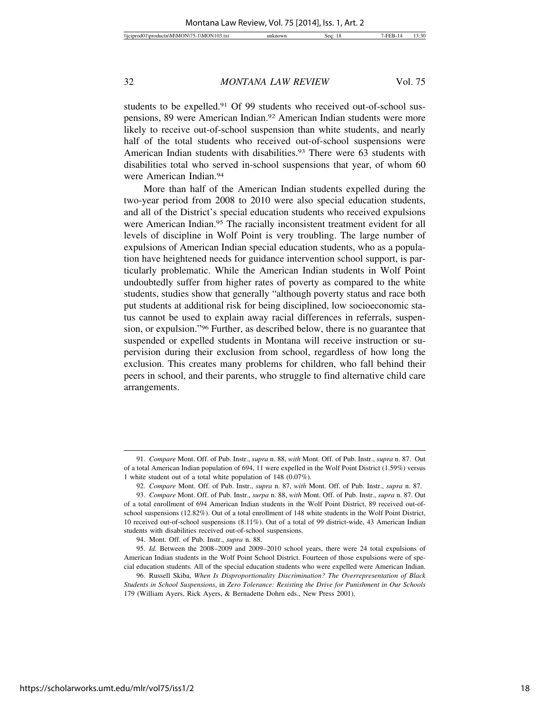students to be expelled.<sup>91</sup> Of 99 students who received out-of-school suspensions, 89 were American Indian.92 American Indian students were more likely to receive out-of-school suspension than white students, and nearly half of the total students who received out-of-school suspensions were American Indian students with disabilities.<sup>93</sup> There were 63 students with disabilities total who served in-school suspensions that year, of whom 60 were American Indian.94

More than half of the American Indian students expelled during the two-year period from 2008 to 2010 were also special education students, and all of the District's special education students who received expulsions were American Indian.<sup>95</sup> The racially inconsistent treatment evident for all levels of discipline in Wolf Point is very troubling. The large number of expulsions of American Indian special education students, who as a population have heightened needs for guidance intervention school support, is particularly problematic. While the American Indian students in Wolf Point undoubtedly suffer from higher rates of poverty as compared to the white students, studies show that generally "although poverty status and race both put students at additional risk for being disciplined, low socioeconomic status cannot be used to explain away racial differences in referrals, suspension, or expulsion."96 Further, as described below, there is no guarantee that suspended or expelled students in Montana will receive instruction or supervision during their exclusion from school, regardless of how long the exclusion. This creates many problems for children, who fall behind their peers in school, and their parents, who struggle to find alternative child care arrangements.

<sup>91.</sup> *Compare* Mont. Off. of Pub. Instr., *supra* n. 88, *with* Mont. Off. of Pub. Instr., *supra* n. 87. Out of a total American Indian population of 694, 11 were expelled in the Wolf Point District (1.59%) versus 1 white student out of a total white population of 148 (0.07%).

<sup>92.</sup> *Compare* Mont. Off. of Pub. Instr., *supra* n. 87, *with* Mont. Off. of Pub. Instr., *supra* n. 87.

<sup>93.</sup> *Compare* Mont. Off. of Pub. Instr., *surpa* n. 88, *with* Mont. Off. of Pub. Instr., *supra* n. 87. Out of a total enrollment of 694 American Indian students in the Wolf Point District, 89 received out-ofschool suspensions (12.82%). Out of a total enrollment of 148 white students in the Wolf Point District, 10 received out-of-school suspensions (8.11%). Out of a total of 99 district-wide, 43 American Indian students with disabilities received out-of-school suspensions.

<sup>94.</sup> Mont. Off. of Pub. Instr., *supra* n. 88.

<sup>95.</sup> *Id.* Between the 2008–2009 and 2009–2010 school years, there were 24 total expulsions of American Indian students in the Wolf Point School District. Fourteen of those expulsions were of special education students. All of the special education students who were expelled were American Indian.

<sup>96.</sup> Russell Skiba, *When Is Disproportionality Discrimination? The Overrepresentation of Black Students in School Suspensions*, in *Zero Tolerance: Resisting the Drive for Punishment in Our Schools* 179 (William Ayers, Rick Ayers, & Bernadette Dohrn eds., New Press 2001).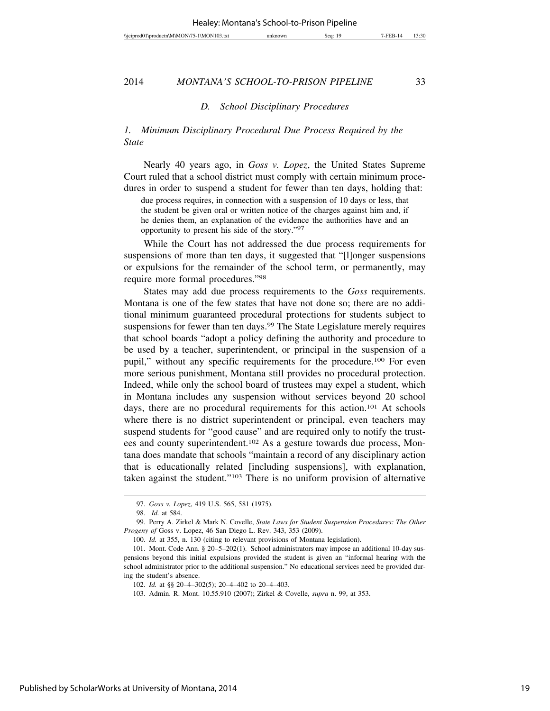#### *D. School Disciplinary Procedures*

# *1. Minimum Disciplinary Procedural Due Process Required by the State*

Nearly 40 years ago, in *Goss v. Lopez*, the United States Supreme Court ruled that a school district must comply with certain minimum procedures in order to suspend a student for fewer than ten days, holding that:

due process requires, in connection with a suspension of 10 days or less, that the student be given oral or written notice of the charges against him and, if he denies them, an explanation of the evidence the authorities have and an opportunity to present his side of the story."97

While the Court has not addressed the due process requirements for suspensions of more than ten days, it suggested that "[l]onger suspensions or expulsions for the remainder of the school term, or permanently, may require more formal procedures."98

States may add due process requirements to the *Goss* requirements. Montana is one of the few states that have not done so; there are no additional minimum guaranteed procedural protections for students subject to suspensions for fewer than ten days.<sup>99</sup> The State Legislature merely requires that school boards "adopt a policy defining the authority and procedure to be used by a teacher, superintendent, or principal in the suspension of a pupil," without any specific requirements for the procedure.100 For even more serious punishment, Montana still provides no procedural protection. Indeed, while only the school board of trustees may expel a student, which in Montana includes any suspension without services beyond 20 school days, there are no procedural requirements for this action.101 At schools where there is no district superintendent or principal, even teachers may suspend students for "good cause" and are required only to notify the trustees and county superintendent.102 As a gesture towards due process, Montana does mandate that schools "maintain a record of any disciplinary action that is educationally related [including suspensions], with explanation, taken against the student."103 There is no uniform provision of alternative

<sup>97.</sup> *Goss v. Lopez*, 419 U.S. 565, 581 (1975).

<sup>98.</sup> *Id.* at 584.

<sup>99.</sup> Perry A. Zirkel & Mark N. Covelle, *State Laws for Student Suspension Procedures: The Other Progeny of* Goss v. Lopez, 46 San Diego L. Rev. 343, 353 (2009).

<sup>100.</sup> *Id.* at 355, n. 130 (citing to relevant provisions of Montana legislation).

<sup>101.</sup> Mont. Code Ann. § 20–5–202(1). School administrators may impose an additional 10-day suspensions beyond this initial expulsions provided the student is given an "informal hearing with the school administrator prior to the additional suspension." No educational services need be provided during the student's absence.

<sup>102.</sup> *Id.* at §§ 20–4–302(5); 20–4–402 to 20–4–403.

<sup>103.</sup> Admin. R. Mont. 10.55.910 (2007); Zirkel & Covelle, *supra* n. 99, at 353.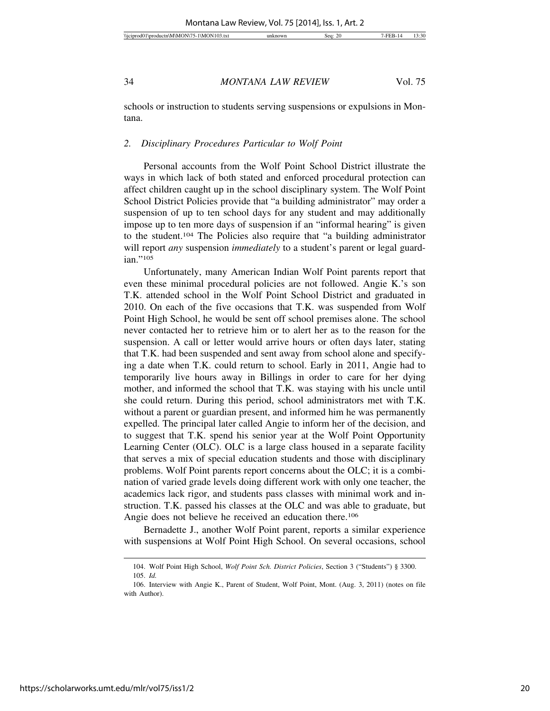schools or instruction to students serving suspensions or expulsions in Montana.

#### *2. Disciplinary Procedures Particular to Wolf Point*

Personal accounts from the Wolf Point School District illustrate the ways in which lack of both stated and enforced procedural protection can affect children caught up in the school disciplinary system. The Wolf Point School District Policies provide that "a building administrator" may order a suspension of up to ten school days for any student and may additionally impose up to ten more days of suspension if an "informal hearing" is given to the student.104 The Policies also require that "a building administrator will report *any* suspension *immediately* to a student's parent or legal guardian."105

Unfortunately, many American Indian Wolf Point parents report that even these minimal procedural policies are not followed. Angie K.'s son T.K. attended school in the Wolf Point School District and graduated in 2010. On each of the five occasions that T.K. was suspended from Wolf Point High School, he would be sent off school premises alone. The school never contacted her to retrieve him or to alert her as to the reason for the suspension. A call or letter would arrive hours or often days later, stating that T.K. had been suspended and sent away from school alone and specifying a date when T.K. could return to school. Early in 2011, Angie had to temporarily live hours away in Billings in order to care for her dying mother, and informed the school that T.K. was staying with his uncle until she could return. During this period, school administrators met with T.K. without a parent or guardian present, and informed him he was permanently expelled. The principal later called Angie to inform her of the decision, and to suggest that T.K. spend his senior year at the Wolf Point Opportunity Learning Center (OLC). OLC is a large class housed in a separate facility that serves a mix of special education students and those with disciplinary problems. Wolf Point parents report concerns about the OLC; it is a combination of varied grade levels doing different work with only one teacher, the academics lack rigor, and students pass classes with minimal work and instruction. T.K. passed his classes at the OLC and was able to graduate, but Angie does not believe he received an education there.<sup>106</sup>

Bernadette J., another Wolf Point parent, reports a similar experience with suspensions at Wolf Point High School. On several occasions, school

<sup>104.</sup> Wolf Point High School, *Wolf Point Sch. District Policies*, Section 3 ("Students") § 3300. 105. *Id.*

<sup>106.</sup> Interview with Angie K., Parent of Student, Wolf Point, Mont. (Aug. 3, 2011) (notes on file with Author).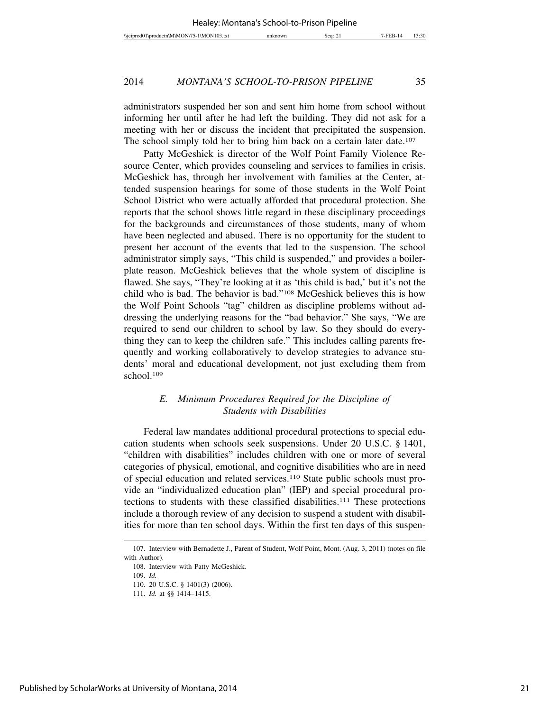administrators suspended her son and sent him home from school without informing her until after he had left the building. They did not ask for a meeting with her or discuss the incident that precipitated the suspension. The school simply told her to bring him back on a certain later date.<sup>107</sup>

Patty McGeshick is director of the Wolf Point Family Violence Resource Center, which provides counseling and services to families in crisis. McGeshick has, through her involvement with families at the Center, attended suspension hearings for some of those students in the Wolf Point School District who were actually afforded that procedural protection. She reports that the school shows little regard in these disciplinary proceedings for the backgrounds and circumstances of those students, many of whom have been neglected and abused. There is no opportunity for the student to present her account of the events that led to the suspension. The school administrator simply says, "This child is suspended," and provides a boilerplate reason. McGeshick believes that the whole system of discipline is flawed. She says, "They're looking at it as 'this child is bad,' but it's not the child who is bad. The behavior is bad."108 McGeshick believes this is how the Wolf Point Schools "tag" children as discipline problems without addressing the underlying reasons for the "bad behavior." She says, "We are required to send our children to school by law. So they should do everything they can to keep the children safe." This includes calling parents frequently and working collaboratively to develop strategies to advance students' moral and educational development, not just excluding them from school.109

# *E. Minimum Procedures Required for the Discipline of Students with Disabilities*

Federal law mandates additional procedural protections to special education students when schools seek suspensions. Under 20 U.S.C. § 1401, "children with disabilities" includes children with one or more of several categories of physical, emotional, and cognitive disabilities who are in need of special education and related services.110 State public schools must provide an "individualized education plan" (IEP) and special procedural protections to students with these classified disabilities.111 These protections include a thorough review of any decision to suspend a student with disabilities for more than ten school days. Within the first ten days of this suspen-

<sup>107.</sup> Interview with Bernadette J., Parent of Student, Wolf Point, Mont. (Aug. 3, 2011) (notes on file with Author).

<sup>108.</sup> Interview with Patty McGeshick.

<sup>109.</sup> *Id.*

<sup>110. 20</sup> U.S.C. § 1401(3) (2006).

<sup>111.</sup> *Id.* at §§ 1414–1415.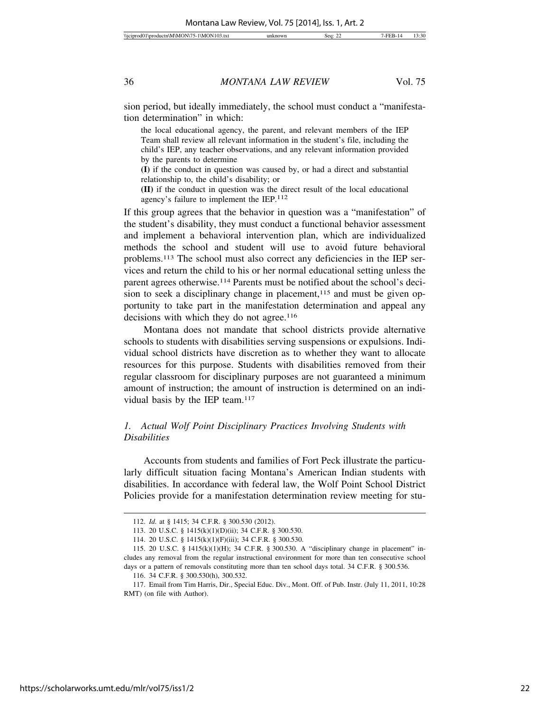sion period, but ideally immediately, the school must conduct a "manifestation determination" in which:

the local educational agency, the parent, and relevant members of the IEP Team shall review all relevant information in the student's file, including the child's IEP, any teacher observations, and any relevant information provided by the parents to determine

**(I)** if the conduct in question was caused by, or had a direct and substantial relationship to, the child's disability; or

**(II)** if the conduct in question was the direct result of the local educational agency's failure to implement the IEP.112

If this group agrees that the behavior in question was a "manifestation" of the student's disability, they must conduct a functional behavior assessment and implement a behavioral intervention plan, which are individualized methods the school and student will use to avoid future behavioral problems.113 The school must also correct any deficiencies in the IEP services and return the child to his or her normal educational setting unless the parent agrees otherwise.114 Parents must be notified about the school's decision to seek a disciplinary change in placement,<sup>115</sup> and must be given opportunity to take part in the manifestation determination and appeal any decisions with which they do not agree.<sup>116</sup>

Montana does not mandate that school districts provide alternative schools to students with disabilities serving suspensions or expulsions. Individual school districts have discretion as to whether they want to allocate resources for this purpose. Students with disabilities removed from their regular classroom for disciplinary purposes are not guaranteed a minimum amount of instruction; the amount of instruction is determined on an individual basis by the IEP team.<sup>117</sup>

# *1. Actual Wolf Point Disciplinary Practices Involving Students with Disabilities*

Accounts from students and families of Fort Peck illustrate the particularly difficult situation facing Montana's American Indian students with disabilities. In accordance with federal law, the Wolf Point School District Policies provide for a manifestation determination review meeting for stu-

<sup>112.</sup> *Id.* at § 1415; 34 C.F.R. § 300.530 (2012).

<sup>113. 20</sup> U.S.C. § 1415(k)(1)(D)(ii); 34 C.F.R. § 300.530.

<sup>114. 20</sup> U.S.C. § 1415(k)(1)(F)(iii); 34 C.F.R. § 300.530.

<sup>115. 20</sup> U.S.C. § 1415(k)(1)(H); 34 C.F.R. § 300.530. A "disciplinary change in placement" includes any removal from the regular instructional environment for more than ten consecutive school days or a pattern of removals constituting more than ten school days total. 34 C.F.R. § 300.536.

<sup>116. 34</sup> C.F.R. § 300.530(h), 300.532.

<sup>117.</sup> Email from Tim Harris, Dir., Special Educ. Div., Mont. Off. of Pub. Instr. (July 11, 2011, 10:28 RMT) (on file with Author).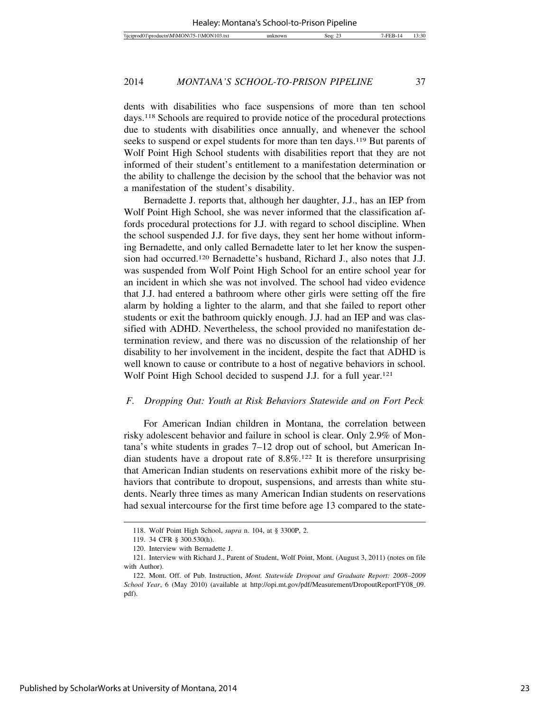dents with disabilities who face suspensions of more than ten school days.118 Schools are required to provide notice of the procedural protections due to students with disabilities once annually, and whenever the school seeks to suspend or expel students for more than ten days.<sup>119</sup> But parents of Wolf Point High School students with disabilities report that they are not informed of their student's entitlement to a manifestation determination or the ability to challenge the decision by the school that the behavior was not a manifestation of the student's disability.

Bernadette J. reports that, although her daughter, J.J., has an IEP from Wolf Point High School, she was never informed that the classification affords procedural protections for J.J. with regard to school discipline. When the school suspended J.J. for five days, they sent her home without informing Bernadette, and only called Bernadette later to let her know the suspension had occurred.120 Bernadette's husband, Richard J., also notes that J.J. was suspended from Wolf Point High School for an entire school year for an incident in which she was not involved. The school had video evidence that J.J. had entered a bathroom where other girls were setting off the fire alarm by holding a lighter to the alarm, and that she failed to report other students or exit the bathroom quickly enough. J.J. had an IEP and was classified with ADHD. Nevertheless, the school provided no manifestation determination review, and there was no discussion of the relationship of her disability to her involvement in the incident, despite the fact that ADHD is well known to cause or contribute to a host of negative behaviors in school. Wolf Point High School decided to suspend J.J. for a full year.<sup>121</sup>

# *F. Dropping Out: Youth at Risk Behaviors Statewide and on Fort Peck*

For American Indian children in Montana, the correlation between risky adolescent behavior and failure in school is clear. Only 2.9% of Montana's white students in grades 7–12 drop out of school, but American Indian students have a dropout rate of 8.8%.122 It is therefore unsurprising that American Indian students on reservations exhibit more of the risky behaviors that contribute to dropout, suspensions, and arrests than white students. Nearly three times as many American Indian students on reservations had sexual intercourse for the first time before age 13 compared to the state-

<sup>118.</sup> Wolf Point High School, *supra* n. 104, at § 3300P, 2.

<sup>119. 34</sup> CFR § 300.530(h).

<sup>120.</sup> Interview with Bernadette J.

<sup>121.</sup> Interview with Richard J., Parent of Student, Wolf Point, Mont. (August 3, 2011) (notes on file with Author).

<sup>122.</sup> Mont. Off. of Pub. Instruction, *Mont. Statewide Dropout and Graduate Report: 2008–2009 School Year*, 6 (May 2010) (available at http://opi.mt.gov/pdf/Measurement/DropoutReportFY08\_09. pdf).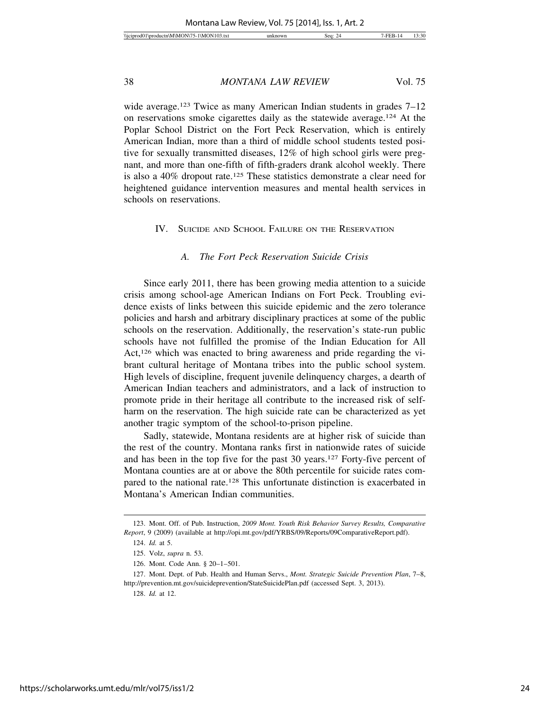wide average.<sup>123</sup> Twice as many American Indian students in grades 7–12 on reservations smoke cigarettes daily as the statewide average.124 At the Poplar School District on the Fort Peck Reservation, which is entirely American Indian, more than a third of middle school students tested positive for sexually transmitted diseases, 12% of high school girls were pregnant, and more than one-fifth of fifth-graders drank alcohol weekly. There is also a 40% dropout rate.125 These statistics demonstrate a clear need for heightened guidance intervention measures and mental health services in schools on reservations.

# IV. SUICIDE AND SCHOOL FAILURE ON THE RESERVATION

# *A. The Fort Peck Reservation Suicide Crisis*

Since early 2011, there has been growing media attention to a suicide crisis among school-age American Indians on Fort Peck. Troubling evidence exists of links between this suicide epidemic and the zero tolerance policies and harsh and arbitrary disciplinary practices at some of the public schools on the reservation. Additionally, the reservation's state-run public schools have not fulfilled the promise of the Indian Education for All Act,<sup>126</sup> which was enacted to bring awareness and pride regarding the vibrant cultural heritage of Montana tribes into the public school system. High levels of discipline, frequent juvenile delinquency charges, a dearth of American Indian teachers and administrators, and a lack of instruction to promote pride in their heritage all contribute to the increased risk of selfharm on the reservation. The high suicide rate can be characterized as yet another tragic symptom of the school-to-prison pipeline.

Sadly, statewide, Montana residents are at higher risk of suicide than the rest of the country. Montana ranks first in nationwide rates of suicide and has been in the top five for the past 30 years.127 Forty-five percent of Montana counties are at or above the 80th percentile for suicide rates compared to the national rate.<sup>128</sup> This unfortunate distinction is exacerbated in Montana's American Indian communities.

<sup>123.</sup> Mont. Off. of Pub. Instruction, *2009 Mont. Youth Risk Behavior Survey Results, Comparative Report*, 9 (2009) (available at http://opi.mt.gov/pdf/YRBS/09/Reports/09ComparativeReport.pdf).

<sup>124.</sup> *Id.* at 5.

<sup>125.</sup> Volz, *supra* n. 53.

<sup>126.</sup> Mont. Code Ann. § 20–1–501.

<sup>127.</sup> Mont. Dept. of Pub. Health and Human Servs., *Mont. Strategic Suicide Prevention Plan*, 7–8, http://prevention.mt.gov/suicideprevention/StateSuicidePlan.pdf (accessed Sept. 3, 2013).

<sup>128.</sup> *Id.* at 12.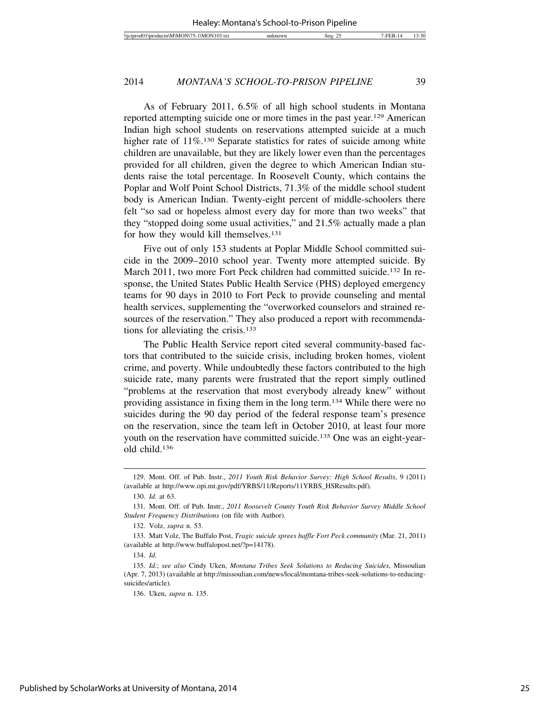As of February 2011, 6.5% of all high school students in Montana reported attempting suicide one or more times in the past year.129 American Indian high school students on reservations attempted suicide at a much higher rate of 11%.<sup>130</sup> Separate statistics for rates of suicide among white children are unavailable, but they are likely lower even than the percentages provided for all children, given the degree to which American Indian students raise the total percentage. In Roosevelt County, which contains the Poplar and Wolf Point School Districts, 71.3% of the middle school student body is American Indian. Twenty-eight percent of middle-schoolers there felt "so sad or hopeless almost every day for more than two weeks" that they "stopped doing some usual activities," and 21.5% actually made a plan for how they would kill themselves.131

Five out of only 153 students at Poplar Middle School committed suicide in the 2009–2010 school year. Twenty more attempted suicide. By March 2011, two more Fort Peck children had committed suicide.<sup>132</sup> In response, the United States Public Health Service (PHS) deployed emergency teams for 90 days in 2010 to Fort Peck to provide counseling and mental health services, supplementing the "overworked counselors and strained resources of the reservation." They also produced a report with recommendations for alleviating the crisis.133

The Public Health Service report cited several community-based factors that contributed to the suicide crisis, including broken homes, violent crime, and poverty. While undoubtedly these factors contributed to the high suicide rate, many parents were frustrated that the report simply outlined "problems at the reservation that most everybody already knew" without providing assistance in fixing them in the long term.134 While there were no suicides during the 90 day period of the federal response team's presence on the reservation, since the team left in October 2010, at least four more youth on the reservation have committed suicide.135 One was an eight-yearold child.136

<sup>129.</sup> Mont. Off. of Pub. Instr., *2011 Youth Risk Behavior Survey: High School Results*, 9 (2011) (available at http://www.opi.mt.gov/pdf/YRBS/11/Reports/11YRBS\_HSResults.pdf).

<sup>130.</sup> *Id.* at 63.

<sup>131.</sup> Mont. Off. of Pub. Instr., *2011 Roosevelt County Youth Risk Behavior Survey Middle School Student Frequency Distributions* (on file with Author).

<sup>132.</sup> Volz, *supra* n. 53.

<sup>133.</sup> Matt Volz, The Buffalo Post, *Tragic suicide sprees baffle Fort Peck community* (Mar. 21, 2011) (available at http://www.buffalopost.net/?p=14178).

<sup>134.</sup> *Id.*

<sup>135.</sup> *Id.*; *see also* Cindy Uken, *Montana Tribes Seek Solutions to Reducing Suicides*, Missoulian (Apr. 7, 2013) (available at http://missoulian.com/news/local/montana-tribes-seek-solutions-to-reducingsuicides/article).

<sup>136.</sup> Uken, *supra* n. 135.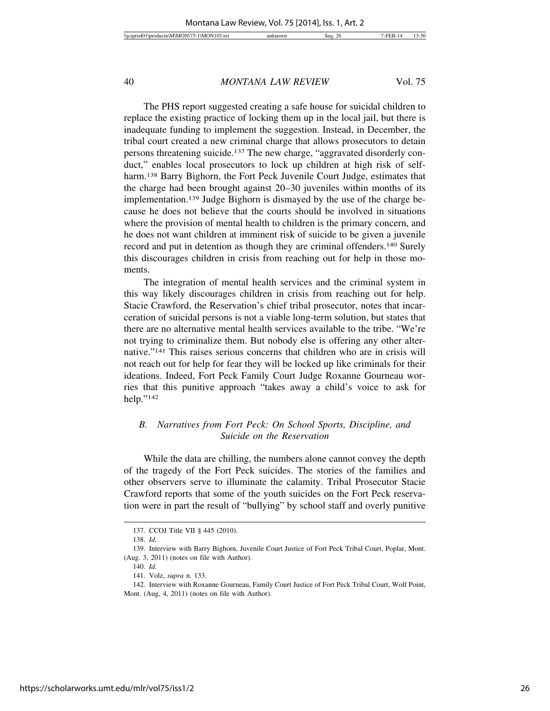The PHS report suggested creating a safe house for suicidal children to replace the existing practice of locking them up in the local jail, but there is inadequate funding to implement the suggestion. Instead, in December, the tribal court created a new criminal charge that allows prosecutors to detain persons threatening suicide.137 The new charge, "aggravated disorderly conduct," enables local prosecutors to lock up children at high risk of selfharm.<sup>138</sup> Barry Bighorn, the Fort Peck Juvenile Court Judge, estimates that the charge had been brought against 20–30 juveniles within months of its implementation.139 Judge Bighorn is dismayed by the use of the charge because he does not believe that the courts should be involved in situations where the provision of mental health to children is the primary concern, and he does not want children at imminent risk of suicide to be given a juvenile record and put in detention as though they are criminal offenders.140 Surely this discourages children in crisis from reaching out for help in those moments.

The integration of mental health services and the criminal system in this way likely discourages children in crisis from reaching out for help. Stacie Crawford, the Reservation's chief tribal prosecutor, notes that incarceration of suicidal persons is not a viable long-term solution, but states that there are no alternative mental health services available to the tribe. "We're not trying to criminalize them. But nobody else is offering any other alternative."141 This raises serious concerns that children who are in crisis will not reach out for help for fear they will be locked up like criminals for their ideations. Indeed, Fort Peck Family Court Judge Roxanne Gourneau worries that this punitive approach "takes away a child's voice to ask for help."142

# *B. Narratives from Fort Peck: On School Sports, Discipline, and Suicide on the Reservation*

While the data are chilling, the numbers alone cannot convey the depth of the tragedy of the Fort Peck suicides. The stories of the families and other observers serve to illuminate the calamity. Tribal Prosecutor Stacie Crawford reports that some of the youth suicides on the Fort Peck reservation were in part the result of "bullying" by school staff and overly punitive

<sup>137.</sup> CCOJ Title VII § 445 (2010).

<sup>138.</sup> *Id.*

<sup>139.</sup> Interview with Barry Bighorn, Juvenile Court Justice of Fort Peck Tribal Court, Poplar, Mont. (Aug. 3, 2011) (notes on file with Author).

<sup>140.</sup> *Id.*

<sup>141.</sup> Volz, *supra* n. 133.

<sup>142.</sup> Interview with Roxanne Gourneau, Family Court Justice of Fort Peck Tribal Court, Wolf Point, Mont. (Aug, 4, 2011) (notes on file with Author).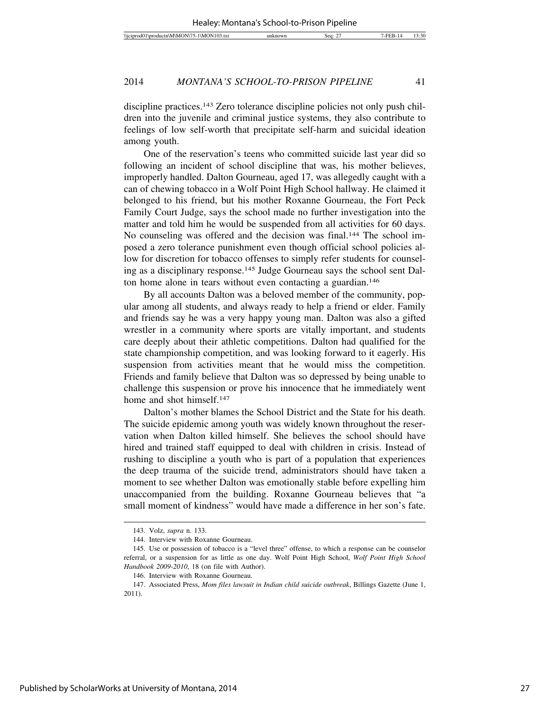discipline practices.143 Zero tolerance discipline policies not only push children into the juvenile and criminal justice systems, they also contribute to feelings of low self-worth that precipitate self-harm and suicidal ideation among youth.

One of the reservation's teens who committed suicide last year did so following an incident of school discipline that was, his mother believes, improperly handled. Dalton Gourneau, aged 17, was allegedly caught with a can of chewing tobacco in a Wolf Point High School hallway. He claimed it belonged to his friend, but his mother Roxanne Gourneau, the Fort Peck Family Court Judge, says the school made no further investigation into the matter and told him he would be suspended from all activities for 60 days. No counseling was offered and the decision was final.144 The school imposed a zero tolerance punishment even though official school policies allow for discretion for tobacco offenses to simply refer students for counseling as a disciplinary response.145 Judge Gourneau says the school sent Dalton home alone in tears without even contacting a guardian.146

By all accounts Dalton was a beloved member of the community, popular among all students, and always ready to help a friend or elder. Family and friends say he was a very happy young man. Dalton was also a gifted wrestler in a community where sports are vitally important, and students care deeply about their athletic competitions. Dalton had qualified for the state championship competition, and was looking forward to it eagerly. His suspension from activities meant that he would miss the competition. Friends and family believe that Dalton was so depressed by being unable to challenge this suspension or prove his innocence that he immediately went home and shot himself.<sup>147</sup>

Dalton's mother blames the School District and the State for his death. The suicide epidemic among youth was widely known throughout the reservation when Dalton killed himself. She believes the school should have hired and trained staff equipped to deal with children in crisis. Instead of rushing to discipline a youth who is part of a population that experiences the deep trauma of the suicide trend, administrators should have taken a moment to see whether Dalton was emotionally stable before expelling him unaccompanied from the building. Roxanne Gourneau believes that "a small moment of kindness" would have made a difference in her son's fate.

<sup>143.</sup> Volz, *supra* n. 133.

<sup>144.</sup> Interview with Roxanne Gourneau.

<sup>145.</sup> Use or possession of tobacco is a "level three" offense, to which a response can be counselor referral, or a suspension for as little as one day. Wolf Point High School, *Wolf Point High School Handbook 2009-2010*, 18 (on file with Author).

<sup>146.</sup> Interview with Roxanne Gourneau.

<sup>147.</sup> Associated Press, *Mom files lawsuit in Indian child suicide outbreak*, Billings Gazette (June 1, 2011).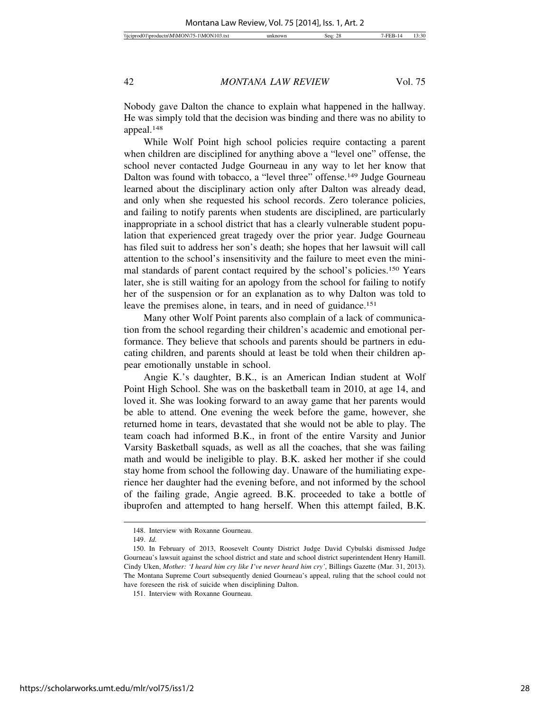Nobody gave Dalton the chance to explain what happened in the hallway. He was simply told that the decision was binding and there was no ability to appeal.148

While Wolf Point high school policies require contacting a parent when children are disciplined for anything above a "level one" offense, the school never contacted Judge Gourneau in any way to let her know that Dalton was found with tobacco, a "level three" offense.149 Judge Gourneau learned about the disciplinary action only after Dalton was already dead, and only when she requested his school records. Zero tolerance policies, and failing to notify parents when students are disciplined, are particularly inappropriate in a school district that has a clearly vulnerable student population that experienced great tragedy over the prior year. Judge Gourneau has filed suit to address her son's death; she hopes that her lawsuit will call attention to the school's insensitivity and the failure to meet even the minimal standards of parent contact required by the school's policies.150 Years later, she is still waiting for an apology from the school for failing to notify her of the suspension or for an explanation as to why Dalton was told to leave the premises alone, in tears, and in need of guidance.<sup>151</sup>

Many other Wolf Point parents also complain of a lack of communication from the school regarding their children's academic and emotional performance. They believe that schools and parents should be partners in educating children, and parents should at least be told when their children appear emotionally unstable in school.

Angie K.'s daughter, B.K., is an American Indian student at Wolf Point High School. She was on the basketball team in 2010, at age 14, and loved it. She was looking forward to an away game that her parents would be able to attend. One evening the week before the game, however, she returned home in tears, devastated that she would not be able to play. The team coach had informed B.K., in front of the entire Varsity and Junior Varsity Basketball squads, as well as all the coaches, that she was failing math and would be ineligible to play. B.K. asked her mother if she could stay home from school the following day. Unaware of the humiliating experience her daughter had the evening before, and not informed by the school of the failing grade, Angie agreed. B.K. proceeded to take a bottle of ibuprofen and attempted to hang herself. When this attempt failed, B.K.

<sup>148.</sup> Interview with Roxanne Gourneau.

<sup>149.</sup> *Id.*

<sup>150.</sup> In February of 2013, Roosevelt County District Judge David Cybulski dismissed Judge Gourneau's lawsuit against the school district and state and school district superintendent Henry Hamill. Cindy Uken, *Mother: 'I heard him cry like I've never heard him cry'*, Billings Gazette (Mar. 31, 2013). The Montana Supreme Court subsequently denied Gourneau's appeal, ruling that the school could not have foreseen the risk of suicide when disciplining Dalton.

<sup>151.</sup> Interview with Roxanne Gourneau.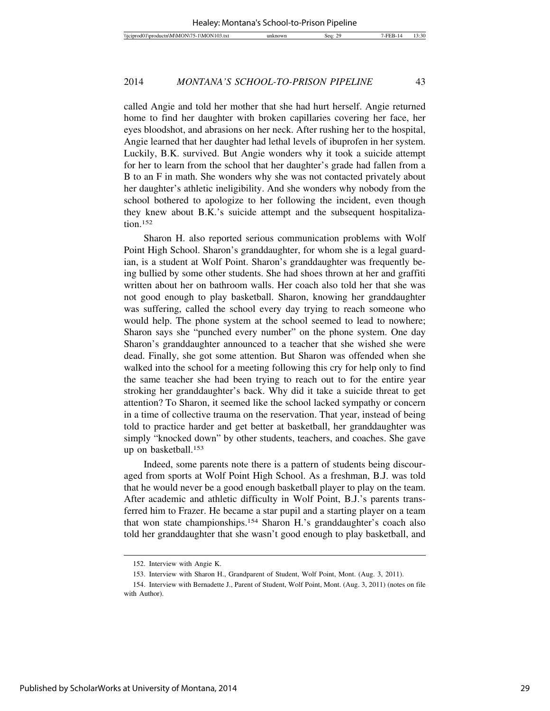called Angie and told her mother that she had hurt herself. Angie returned home to find her daughter with broken capillaries covering her face, her eyes bloodshot, and abrasions on her neck. After rushing her to the hospital, Angie learned that her daughter had lethal levels of ibuprofen in her system. Luckily, B.K. survived. But Angie wonders why it took a suicide attempt for her to learn from the school that her daughter's grade had fallen from a B to an F in math. She wonders why she was not contacted privately about her daughter's athletic ineligibility. And she wonders why nobody from the school bothered to apologize to her following the incident, even though they knew about B.K.'s suicide attempt and the subsequent hospitalization.152

Sharon H. also reported serious communication problems with Wolf Point High School. Sharon's granddaughter, for whom she is a legal guardian, is a student at Wolf Point. Sharon's granddaughter was frequently being bullied by some other students. She had shoes thrown at her and graffiti written about her on bathroom walls. Her coach also told her that she was not good enough to play basketball. Sharon, knowing her granddaughter was suffering, called the school every day trying to reach someone who would help. The phone system at the school seemed to lead to nowhere; Sharon says she "punched every number" on the phone system. One day Sharon's granddaughter announced to a teacher that she wished she were dead. Finally, she got some attention. But Sharon was offended when she walked into the school for a meeting following this cry for help only to find the same teacher she had been trying to reach out to for the entire year stroking her granddaughter's back. Why did it take a suicide threat to get attention? To Sharon, it seemed like the school lacked sympathy or concern in a time of collective trauma on the reservation. That year, instead of being told to practice harder and get better at basketball, her granddaughter was simply "knocked down" by other students, teachers, and coaches. She gave up on basketball.153

Indeed, some parents note there is a pattern of students being discouraged from sports at Wolf Point High School. As a freshman, B.J. was told that he would never be a good enough basketball player to play on the team. After academic and athletic difficulty in Wolf Point, B.J.'s parents transferred him to Frazer. He became a star pupil and a starting player on a team that won state championships.154 Sharon H.'s granddaughter's coach also told her granddaughter that she wasn't good enough to play basketball, and

<sup>152.</sup> Interview with Angie K.

<sup>153.</sup> Interview with Sharon H., Grandparent of Student, Wolf Point, Mont. (Aug. 3, 2011).

<sup>154.</sup> Interview with Bernadette J., Parent of Student, Wolf Point, Mont. (Aug. 3, 2011) (notes on file with Author).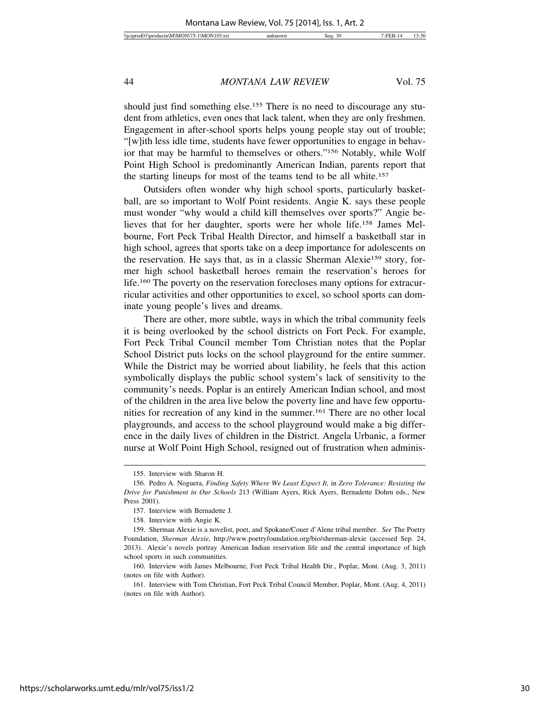should just find something else.<sup>155</sup> There is no need to discourage any student from athletics, even ones that lack talent, when they are only freshmen. Engagement in after-school sports helps young people stay out of trouble; "[w]ith less idle time, students have fewer opportunities to engage in behavior that may be harmful to themselves or others."156 Notably, while Wolf Point High School is predominantly American Indian, parents report that the starting lineups for most of the teams tend to be all white.157

Outsiders often wonder why high school sports, particularly basketball, are so important to Wolf Point residents. Angie K. says these people must wonder "why would a child kill themselves over sports?" Angie believes that for her daughter, sports were her whole life.158 James Melbourne, Fort Peck Tribal Health Director, and himself a basketball star in high school, agrees that sports take on a deep importance for adolescents on the reservation. He says that, as in a classic Sherman Alexie159 story, former high school basketball heroes remain the reservation's heroes for life.160 The poverty on the reservation forecloses many options for extracurricular activities and other opportunities to excel, so school sports can dominate young people's lives and dreams.

There are other, more subtle, ways in which the tribal community feels it is being overlooked by the school districts on Fort Peck. For example, Fort Peck Tribal Council member Tom Christian notes that the Poplar School District puts locks on the school playground for the entire summer. While the District may be worried about liability, he feels that this action symbolically displays the public school system's lack of sensitivity to the community's needs. Poplar is an entirely American Indian school, and most of the children in the area live below the poverty line and have few opportunities for recreation of any kind in the summer.161 There are no other local playgrounds, and access to the school playground would make a big difference in the daily lives of children in the District. Angela Urbanic, a former nurse at Wolf Point High School, resigned out of frustration when adminis-

<sup>155.</sup> Interview with Sharon H.

<sup>156.</sup> Pedro A. Noguera, *Finding Safety Where We Least Expect It,* in *Zero Tolerance: Resisting the Drive for Punishment in Our Schools* 213 (William Ayers, Rick Ayers, Bernadette Dohrn eds., New Press 2001).

<sup>157.</sup> Interview with Bernadette J.

<sup>158.</sup> Interview with Angie K.

<sup>159.</sup> Sherman Alexie is a novelist, poet, and Spokane/Couer d'Alene tribal member. *See* The Poetry Foundation, *Sherman Alexie*, http://www.poetryfoundation.org/bio/sherman-alexie (accessed Sep. 24, 2013). Alexie's novels portray American Indian reservation life and the central importance of high school sports in such communities.

<sup>160.</sup> Interview with James Melbourne, Fort Peck Tribal Health Dir., Poplar, Mont. (Aug. 3, 2011) (notes on file with Author).

<sup>161.</sup> Interview with Tom Christian, Fort Peck Tribal Council Member, Poplar, Mont. (Aug. 4, 2011) (notes on file with Author).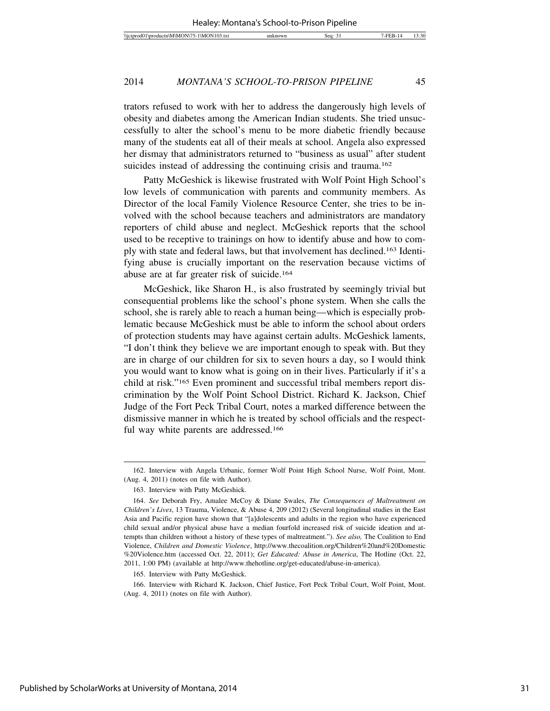trators refused to work with her to address the dangerously high levels of obesity and diabetes among the American Indian students. She tried unsuccessfully to alter the school's menu to be more diabetic friendly because many of the students eat all of their meals at school. Angela also expressed her dismay that administrators returned to "business as usual" after student suicides instead of addressing the continuing crisis and trauma.<sup>162</sup>

Patty McGeshick is likewise frustrated with Wolf Point High School's low levels of communication with parents and community members. As Director of the local Family Violence Resource Center, she tries to be involved with the school because teachers and administrators are mandatory reporters of child abuse and neglect. McGeshick reports that the school used to be receptive to trainings on how to identify abuse and how to comply with state and federal laws, but that involvement has declined.163 Identifying abuse is crucially important on the reservation because victims of abuse are at far greater risk of suicide.164

McGeshick, like Sharon H., is also frustrated by seemingly trivial but consequential problems like the school's phone system. When she calls the school, she is rarely able to reach a human being—which is especially problematic because McGeshick must be able to inform the school about orders of protection students may have against certain adults. McGeshick laments, "I don't think they believe we are important enough to speak with. But they are in charge of our children for six to seven hours a day, so I would think you would want to know what is going on in their lives. Particularly if it's a child at risk."165 Even prominent and successful tribal members report discrimination by the Wolf Point School District. Richard K. Jackson, Chief Judge of the Fort Peck Tribal Court, notes a marked difference between the dismissive manner in which he is treated by school officials and the respectful way white parents are addressed.166

165. Interview with Patty McGeshick.

166. Interview with Richard K. Jackson, Chief Justice, Fort Peck Tribal Court, Wolf Point, Mont. (Aug. 4, 2011) (notes on file with Author).

<sup>162.</sup> Interview with Angela Urbanic, former Wolf Point High School Nurse, Wolf Point, Mont. (Aug. 4, 2011) (notes on file with Author).

<sup>163.</sup> Interview with Patty McGeshick.

<sup>164.</sup> *See* Deborah Fry, Amalee McCoy & Diane Swales, *The Consequences of Maltreatment on Children's Lives*, 13 Trauma, Violence, & Abuse 4, 209 (2012) (Several longitudinal studies in the East Asia and Pacific region have shown that "[a]dolescents and adults in the region who have experienced child sexual and/or physical abuse have a median fourfold increased risk of suicide ideation and attempts than children without a history of these types of maltreatment."). *See also,* The Coalition to End Violence, *Children and Domestic Violence*, http://www.thecoalition.org/Children%20and%20Domestic %20Violence.htm (accessed Oct. 22, 2011); *Get Educated: Abuse in America*, The Hotline (Oct. 22, 2011, 1:00 PM) (available at http://www.thehotline.org/get-educated/abuse-in-america).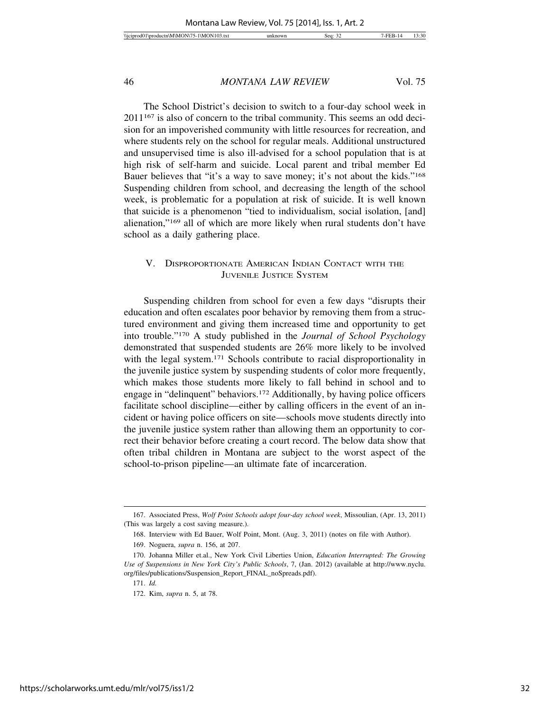The School District's decision to switch to a four-day school week in 2011167 is also of concern to the tribal community. This seems an odd decision for an impoverished community with little resources for recreation, and where students rely on the school for regular meals. Additional unstructured and unsupervised time is also ill-advised for a school population that is at high risk of self-harm and suicide. Local parent and tribal member Ed Bauer believes that "it's a way to save money; it's not about the kids."168 Suspending children from school, and decreasing the length of the school week, is problematic for a population at risk of suicide. It is well known that suicide is a phenomenon "tied to individualism, social isolation, [and] alienation,"169 all of which are more likely when rural students don't have school as a daily gathering place.

# V. DISPROPORTIONATE AMERICAN INDIAN CONTACT WITH THE JUVENILE JUSTICE SYSTEM

Suspending children from school for even a few days "disrupts their education and often escalates poor behavior by removing them from a structured environment and giving them increased time and opportunity to get into trouble."170 A study published in the *Journal of School Psychology* demonstrated that suspended students are 26% more likely to be involved with the legal system.<sup>171</sup> Schools contribute to racial disproportionality in the juvenile justice system by suspending students of color more frequently, which makes those students more likely to fall behind in school and to engage in "delinquent" behaviors.172 Additionally, by having police officers facilitate school discipline—either by calling officers in the event of an incident or having police officers on site—schools move students directly into the juvenile justice system rather than allowing them an opportunity to correct their behavior before creating a court record. The below data show that often tribal children in Montana are subject to the worst aspect of the school-to-prison pipeline—an ultimate fate of incarceration.

<sup>167.</sup> Associated Press, *Wolf Point Schools adopt four-day school week*, Missoulian, (Apr. 13, 2011) (This was largely a cost saving measure.).

<sup>168.</sup> Interview with Ed Bauer, Wolf Point, Mont. (Aug. 3, 2011) (notes on file with Author).

<sup>169.</sup> Noguera, *supra* n. 156, at 207.

<sup>170.</sup> Johanna Miller et.al., New York Civil Liberties Union, *Education Interrupted: The Growing Use of Suspensions in New York City's Public Schools*, 7, (Jan. 2012) (available at http://www.nyclu. org/files/publications/Suspension\_Report\_FINAL\_noSpreads.pdf).

<sup>171.</sup> *Id.*

<sup>172.</sup> Kim, *supra* n. 5, at 78.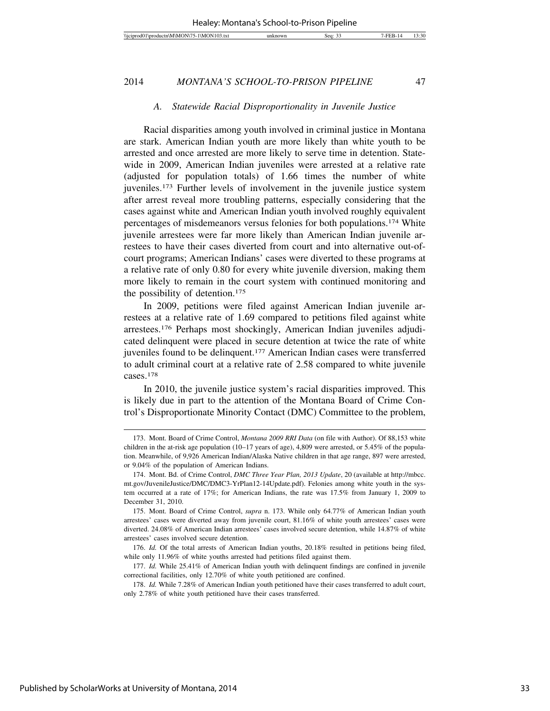#### *A. Statewide Racial Disproportionality in Juvenile Justice*

Racial disparities among youth involved in criminal justice in Montana are stark. American Indian youth are more likely than white youth to be arrested and once arrested are more likely to serve time in detention. Statewide in 2009, American Indian juveniles were arrested at a relative rate (adjusted for population totals) of 1.66 times the number of white juveniles.173 Further levels of involvement in the juvenile justice system after arrest reveal more troubling patterns, especially considering that the cases against white and American Indian youth involved roughly equivalent percentages of misdemeanors versus felonies for both populations.174 White juvenile arrestees were far more likely than American Indian juvenile arrestees to have their cases diverted from court and into alternative out-ofcourt programs; American Indians' cases were diverted to these programs at a relative rate of only 0.80 for every white juvenile diversion, making them more likely to remain in the court system with continued monitoring and the possibility of detention.175

In 2009, petitions were filed against American Indian juvenile arrestees at a relative rate of 1.69 compared to petitions filed against white arrestees.176 Perhaps most shockingly, American Indian juveniles adjudicated delinquent were placed in secure detention at twice the rate of white juveniles found to be delinquent.177 American Indian cases were transferred to adult criminal court at a relative rate of 2.58 compared to white juvenile cases.178

In 2010, the juvenile justice system's racial disparities improved. This is likely due in part to the attention of the Montana Board of Crime Control's Disproportionate Minority Contact (DMC) Committee to the problem,

<sup>173.</sup> Mont. Board of Crime Control, *Montana 2009 RRI Data* (on file with Author). Of 88,153 white children in the at-risk age population (10–17 years of age), 4,809 were arrested, or 5.45% of the population. Meanwhile, of 9,926 American Indian/Alaska Native children in that age range, 897 were arrested, or 9.04% of the population of American Indians.

<sup>174.</sup> Mont. Bd. of Crime Control, *DMC Three Year Plan, 2013 Update*, 20 (available at http://mbcc. mt.gov/JuvenileJustice/DMC/DMC3-YrPlan12-14Update.pdf). Felonies among white youth in the system occurred at a rate of 17%; for American Indians, the rate was 17.5% from January 1, 2009 to December 31, 2010.

<sup>175.</sup> Mont. Board of Crime Control, *supra* n. 173. While only 64.77% of American Indian youth arrestees' cases were diverted away from juvenile court, 81.16% of white youth arrestees' cases were diverted. 24.08% of American Indian arrestees' cases involved secure detention, while 14.87% of white arrestees' cases involved secure detention.

<sup>176.</sup> *Id.* Of the total arrests of American Indian youths, 20.18% resulted in petitions being filed, while only 11.96% of white youths arrested had petitions filed against them.

<sup>177.</sup> *Id.* While 25.41% of American Indian youth with delinquent findings are confined in juvenile correctional facilities, only 12.70% of white youth petitioned are confined.

<sup>178.</sup> *Id.* While 7.28% of American Indian youth petitioned have their cases transferred to adult court, only 2.78% of white youth petitioned have their cases transferred.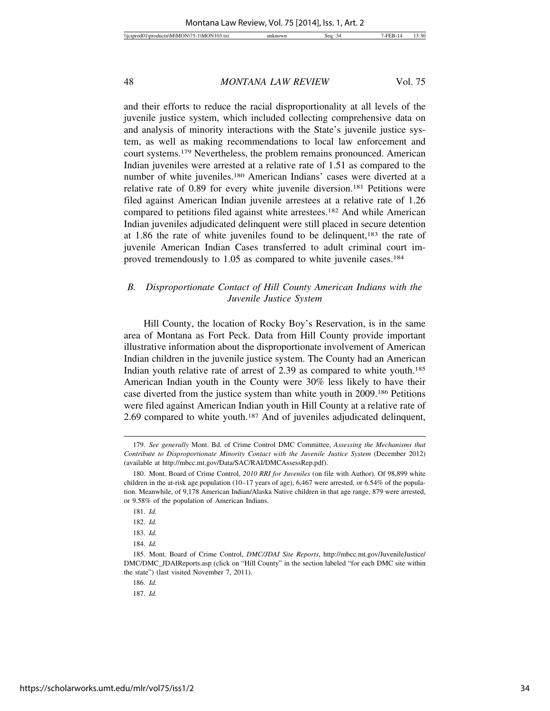and their efforts to reduce the racial disproportionality at all levels of the juvenile justice system, which included collecting comprehensive data on and analysis of minority interactions with the State's juvenile justice system, as well as making recommendations to local law enforcement and court systems.179 Nevertheless, the problem remains pronounced. American Indian juveniles were arrested at a relative rate of 1.51 as compared to the number of white juveniles.180 American Indians' cases were diverted at a relative rate of 0.89 for every white juvenile diversion.181 Petitions were filed against American Indian juvenile arrestees at a relative rate of 1.26 compared to petitions filed against white arrestees.<sup>182</sup> And while American Indian juveniles adjudicated delinquent were still placed in secure detention at 1.86 the rate of white juveniles found to be delinquent, $183$  the rate of juvenile American Indian Cases transferred to adult criminal court improved tremendously to 1.05 as compared to white juvenile cases.<sup>184</sup>

# *B. Disproportionate Contact of Hill County American Indians with the Juvenile Justice System*

Hill County, the location of Rocky Boy's Reservation, is in the same area of Montana as Fort Peck. Data from Hill County provide important illustrative information about the disproportionate involvement of American Indian children in the juvenile justice system. The County had an American Indian youth relative rate of arrest of 2.39 as compared to white youth.<sup>185</sup> American Indian youth in the County were 30% less likely to have their case diverted from the justice system than white youth in 2009.186 Petitions were filed against American Indian youth in Hill County at a relative rate of 2.69 compared to white youth.187 And of juveniles adjudicated delinquent,

186. *Id.*

<sup>179.</sup> *See generally* Mont. Bd. of Crime Control DMC Committee, *Assessing the Mechanisms that Contribute to Disproportionate Minority Contact with the Juvenile Justice System* (December 2012) (available at http://mbcc.mt.gov/Data/SAC/RAI/DMCAssessRep.pdf).

<sup>180.</sup> Mont. Board of Crime Control, *2010 RRI for Juveniles* (on file with Author). Of 98,899 white children in the at-risk age population (10–17 years of age), 6,467 were arrested, or 6.54% of the population. Meanwhile, of 9,178 American Indian/Alaska Native children in that age range, 879 were arrested, or 9.58% of the population of American Indians.

<sup>181.</sup> *Id.*

<sup>182.</sup> *Id.*

<sup>183.</sup> *Id.*

<sup>184.</sup> *Id.*

<sup>185.</sup> Mont. Board of Crime Control, *DMC/JDAI Site Reports*, http://mbcc.mt.gov/JuvenileJustice/ DMC/DMC\_JDAIReports.asp (click on "Hill County" in the section labeled "for each DMC site within the state") (last visited November 7, 2011).

<sup>187.</sup> *Id.*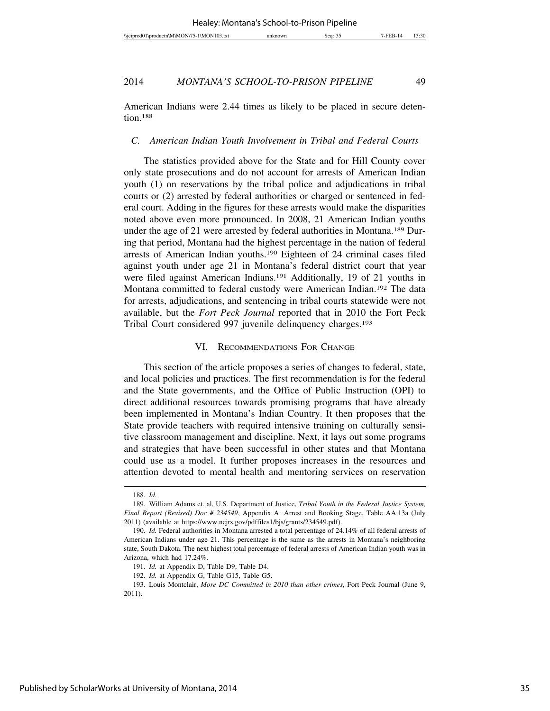American Indians were 2.44 times as likely to be placed in secure detention.188

#### *C. American Indian Youth Involvement in Tribal and Federal Courts*

The statistics provided above for the State and for Hill County cover only state prosecutions and do not account for arrests of American Indian youth (1) on reservations by the tribal police and adjudications in tribal courts or (2) arrested by federal authorities or charged or sentenced in federal court. Adding in the figures for these arrests would make the disparities noted above even more pronounced. In 2008, 21 American Indian youths under the age of 21 were arrested by federal authorities in Montana.<sup>189</sup> During that period, Montana had the highest percentage in the nation of federal arrests of American Indian youths.190 Eighteen of 24 criminal cases filed against youth under age 21 in Montana's federal district court that year were filed against American Indians.<sup>191</sup> Additionally, 19 of 21 youths in Montana committed to federal custody were American Indian.192 The data for arrests, adjudications, and sentencing in tribal courts statewide were not available, but the *Fort Peck Journal* reported that in 2010 the Fort Peck Tribal Court considered 997 juvenile delinquency charges.193

#### VI. RECOMMENDATIONS FOR CHANGE

This section of the article proposes a series of changes to federal, state, and local policies and practices. The first recommendation is for the federal and the State governments, and the Office of Public Instruction (OPI) to direct additional resources towards promising programs that have already been implemented in Montana's Indian Country. It then proposes that the State provide teachers with required intensive training on culturally sensitive classroom management and discipline. Next, it lays out some programs and strategies that have been successful in other states and that Montana could use as a model. It further proposes increases in the resources and attention devoted to mental health and mentoring services on reservation

<sup>188.</sup> *Id.*

<sup>189.</sup> William Adams et. al, U.S. Department of Justice, *Tribal Youth in the Federal Justice System, Final Report (Revised) Doc # 234549*, Appendix A: Arrest and Booking Stage, Table AA.13a (July 2011) (available at https://www.ncjrs.gov/pdffiles1/bjs/grants/234549.pdf).

<sup>190.</sup> *Id.* Federal authorities in Montana arrested a total percentage of 24.14% of all federal arrests of American Indians under age 21. This percentage is the same as the arrests in Montana's neighboring state, South Dakota. The next highest total percentage of federal arrests of American Indian youth was in Arizona, which had 17.24%.

<sup>191.</sup> *Id.* at Appendix D, Table D9, Table D4.

<sup>192.</sup> *Id.* at Appendix G, Table G15, Table G5.

<sup>193.</sup> Louis Montclair, *More DC Committed in 2010 than other crimes*, Fort Peck Journal (June 9, 2011).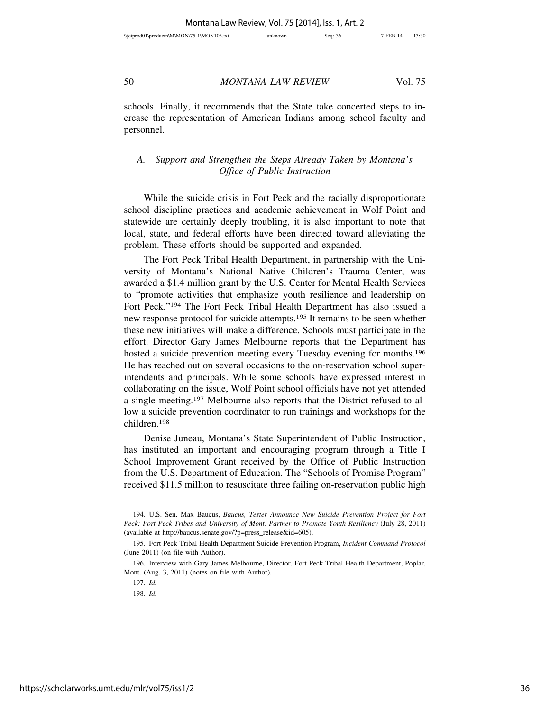schools. Finally, it recommends that the State take concerted steps to increase the representation of American Indians among school faculty and personnel.

# *A. Support and Strengthen the Steps Already Taken by Montana's Office of Public Instruction*

While the suicide crisis in Fort Peck and the racially disproportionate school discipline practices and academic achievement in Wolf Point and statewide are certainly deeply troubling, it is also important to note that local, state, and federal efforts have been directed toward alleviating the problem. These efforts should be supported and expanded.

The Fort Peck Tribal Health Department, in partnership with the University of Montana's National Native Children's Trauma Center, was awarded a \$1.4 million grant by the U.S. Center for Mental Health Services to "promote activities that emphasize youth resilience and leadership on Fort Peck."194 The Fort Peck Tribal Health Department has also issued a new response protocol for suicide attempts.195 It remains to be seen whether these new initiatives will make a difference. Schools must participate in the effort. Director Gary James Melbourne reports that the Department has hosted a suicide prevention meeting every Tuesday evening for months.196 He has reached out on several occasions to the on-reservation school superintendents and principals. While some schools have expressed interest in collaborating on the issue, Wolf Point school officials have not yet attended a single meeting.197 Melbourne also reports that the District refused to allow a suicide prevention coordinator to run trainings and workshops for the children.198

Denise Juneau, Montana's State Superintendent of Public Instruction, has instituted an important and encouraging program through a Title I School Improvement Grant received by the Office of Public Instruction from the U.S. Department of Education. The "Schools of Promise Program" received \$11.5 million to resuscitate three failing on-reservation public high

<sup>194.</sup> U.S. Sen. Max Baucus, *Baucus, Tester Announce New Suicide Prevention Project for Fort Peck: Fort Peck Tribes and University of Mont. Partner to Promote Youth Resiliency* (July 28, 2011) (available at http://baucus.senate.gov/?p=press\_release&id=605).

<sup>195.</sup> Fort Peck Tribal Health Department Suicide Prevention Program, *Incident Command Protocol* (June 2011) (on file with Author).

<sup>196.</sup> Interview with Gary James Melbourne, Director, Fort Peck Tribal Health Department, Poplar, Mont. (Aug. 3, 2011) (notes on file with Author).

<sup>197.</sup> *Id.*

<sup>198.</sup> *Id.*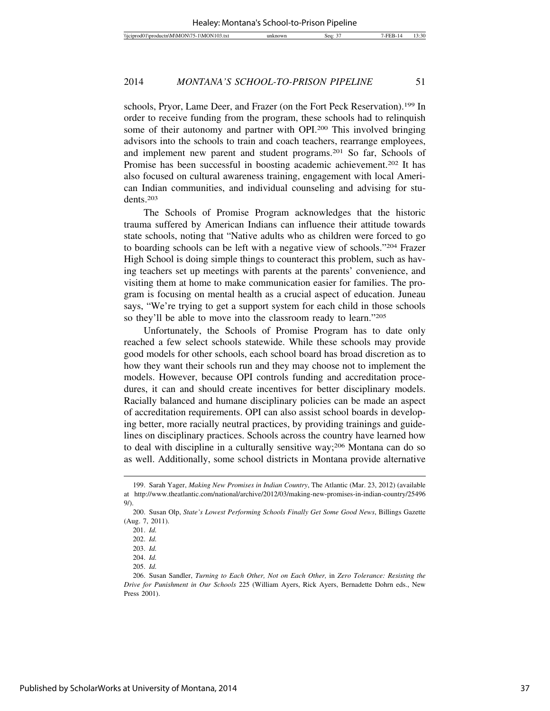schools, Pryor, Lame Deer, and Frazer (on the Fort Peck Reservation).199 In order to receive funding from the program, these schools had to relinquish some of their autonomy and partner with OPI.200 This involved bringing advisors into the schools to train and coach teachers, rearrange employees, and implement new parent and student programs.201 So far, Schools of Promise has been successful in boosting academic achievement.<sup>202</sup> It has also focused on cultural awareness training, engagement with local American Indian communities, and individual counseling and advising for students.203

The Schools of Promise Program acknowledges that the historic trauma suffered by American Indians can influence their attitude towards state schools, noting that "Native adults who as children were forced to go to boarding schools can be left with a negative view of schools."204 Frazer High School is doing simple things to counteract this problem, such as having teachers set up meetings with parents at the parents' convenience, and visiting them at home to make communication easier for families. The program is focusing on mental health as a crucial aspect of education. Juneau says, "We're trying to get a support system for each child in those schools so they'll be able to move into the classroom ready to learn."205

Unfortunately, the Schools of Promise Program has to date only reached a few select schools statewide. While these schools may provide good models for other schools, each school board has broad discretion as to how they want their schools run and they may choose not to implement the models. However, because OPI controls funding and accreditation procedures, it can and should create incentives for better disciplinary models. Racially balanced and humane disciplinary policies can be made an aspect of accreditation requirements. OPI can also assist school boards in developing better, more racially neutral practices, by providing trainings and guidelines on disciplinary practices. Schools across the country have learned how to deal with discipline in a culturally sensitive way;206 Montana can do so as well. Additionally, some school districts in Montana provide alternative

<sup>199.</sup> Sarah Yager, *Making New Promises in Indian Country*, The Atlantic (Mar. 23, 2012) (available at http://www.theatlantic.com/national/archive/2012/03/making-new-promises-in-indian-country/25496  $9/$ ).

<sup>200.</sup> Susan Olp, *State's Lowest Performing Schools Finally Get Some Good News*, Billings Gazette (Aug. 7, 2011).

<sup>201.</sup> *Id.*

<sup>202.</sup> *Id.*

<sup>203.</sup> *Id.*

<sup>204.</sup> *Id.*

<sup>205.</sup> *Id.*

<sup>206.</sup> Susan Sandler, *Turning to Each Other, Not on Each Other,* in *Zero Tolerance: Resisting the Drive for Punishment in Our Schools* 225 (William Ayers, Rick Ayers, Bernadette Dohrn eds., New Press 2001).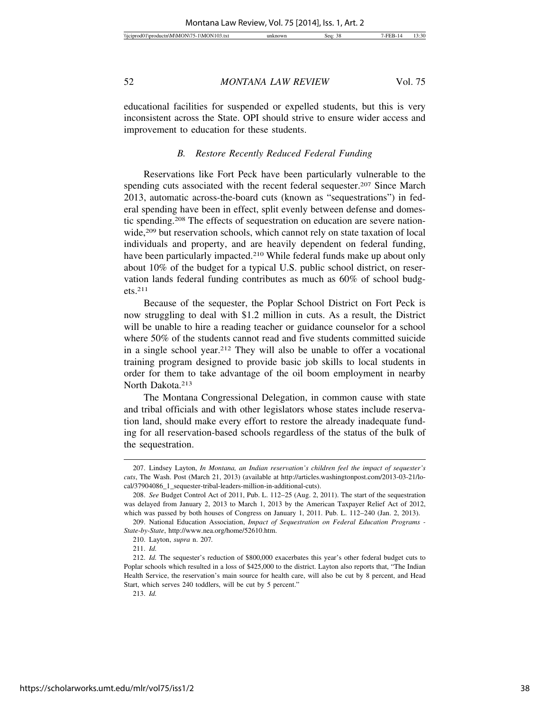educational facilities for suspended or expelled students, but this is very inconsistent across the State. OPI should strive to ensure wider access and improvement to education for these students.

#### *B. Restore Recently Reduced Federal Funding*

Reservations like Fort Peck have been particularly vulnerable to the spending cuts associated with the recent federal sequester.<sup>207</sup> Since March 2013, automatic across-the-board cuts (known as "sequestrations") in federal spending have been in effect, split evenly between defense and domestic spending.208 The effects of sequestration on education are severe nationwide,<sup>209</sup> but reservation schools, which cannot rely on state taxation of local individuals and property, and are heavily dependent on federal funding, have been particularly impacted.<sup>210</sup> While federal funds make up about only about 10% of the budget for a typical U.S. public school district, on reservation lands federal funding contributes as much as 60% of school budgets.211

Because of the sequester, the Poplar School District on Fort Peck is now struggling to deal with \$1.2 million in cuts. As a result, the District will be unable to hire a reading teacher or guidance counselor for a school where 50% of the students cannot read and five students committed suicide in a single school year.212 They will also be unable to offer a vocational training program designed to provide basic job skills to local students in order for them to take advantage of the oil boom employment in nearby North Dakota.<sup>213</sup>

The Montana Congressional Delegation, in common cause with state and tribal officials and with other legislators whose states include reservation land, should make every effort to restore the already inadequate funding for all reservation-based schools regardless of the status of the bulk of the sequestration.

213. *Id.*

<sup>207.</sup> Lindsey Layton, *In Montana, an Indian reservation's children feel the impact of sequester's cuts*, The Wash. Post (March 21, 2013) (available at http://articles.washingtonpost.com/2013-03-21/local/37904086\_1\_sequester-tribal-leaders-million-in-additional-cuts).

<sup>208.</sup> *See* Budget Control Act of 2011, Pub. L. 112–25 (Aug. 2, 2011). The start of the sequestration was delayed from January 2, 2013 to March 1, 2013 by the American Taxpayer Relief Act of 2012, which was passed by both houses of Congress on January 1, 2011. Pub. L. 112–240 (Jan. 2, 2013).

<sup>209.</sup> National Education Association, *Impact of Sequestration on Federal Education Programs - State-by-State*, http://www.nea.org/home/52610.htm.

<sup>210.</sup> Layton, *supra* n. 207*.*

<sup>211.</sup> *Id.*

<sup>212.</sup> *Id.* The sequester's reduction of \$800,000 exacerbates this year's other federal budget cuts to Poplar schools which resulted in a loss of \$425,000 to the district. Layton also reports that, "The Indian Health Service, the reservation's main source for health care, will also be cut by 8 percent, and Head Start, which serves 240 toddlers, will be cut by 5 percent."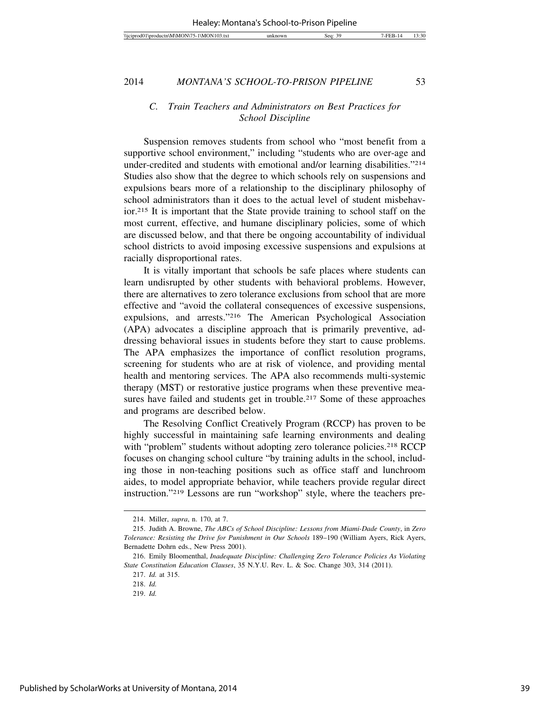# *C. Train Teachers and Administrators on Best Practices for School Discipline*

Suspension removes students from school who "most benefit from a supportive school environment," including "students who are over-age and under-credited and students with emotional and/or learning disabilities."214 Studies also show that the degree to which schools rely on suspensions and expulsions bears more of a relationship to the disciplinary philosophy of school administrators than it does to the actual level of student misbehavior.215 It is important that the State provide training to school staff on the most current, effective, and humane disciplinary policies, some of which are discussed below, and that there be ongoing accountability of individual school districts to avoid imposing excessive suspensions and expulsions at racially disproportional rates.

It is vitally important that schools be safe places where students can learn undisrupted by other students with behavioral problems. However, there are alternatives to zero tolerance exclusions from school that are more effective and "avoid the collateral consequences of excessive suspensions, expulsions, and arrests."216 The American Psychological Association (APA) advocates a discipline approach that is primarily preventive, addressing behavioral issues in students before they start to cause problems. The APA emphasizes the importance of conflict resolution programs, screening for students who are at risk of violence, and providing mental health and mentoring services. The APA also recommends multi-systemic therapy (MST) or restorative justice programs when these preventive measures have failed and students get in trouble.<sup>217</sup> Some of these approaches and programs are described below.

The Resolving Conflict Creatively Program (RCCP) has proven to be highly successful in maintaining safe learning environments and dealing with "problem" students without adopting zero tolerance policies.<sup>218</sup> RCCP focuses on changing school culture "by training adults in the school, including those in non-teaching positions such as office staff and lunchroom aides, to model appropriate behavior, while teachers provide regular direct instruction."219 Lessons are run "workshop" style, where the teachers pre-

<sup>214.</sup> Miller, *supra*, n. 170, at 7.

<sup>215.</sup> Judith A. Browne, *The ABCs of School Discipline: Lessons from Miami-Dade County*, in *Zero Tolerance: Resisting the Drive for Punishment in Our Schools* 189–190 (William Ayers, Rick Ayers, Bernadette Dohrn eds., New Press 2001).

<sup>216.</sup> Emily Bloomenthal, *Inadequate Discipline: Challenging Zero Tolerance Policies As Violating State Constitution Education Clauses*, 35 N.Y.U. Rev. L. & Soc. Change 303, 314 (2011).

<sup>217.</sup> *Id.* at 315.

<sup>218.</sup> *Id.*

<sup>219.</sup> *Id.*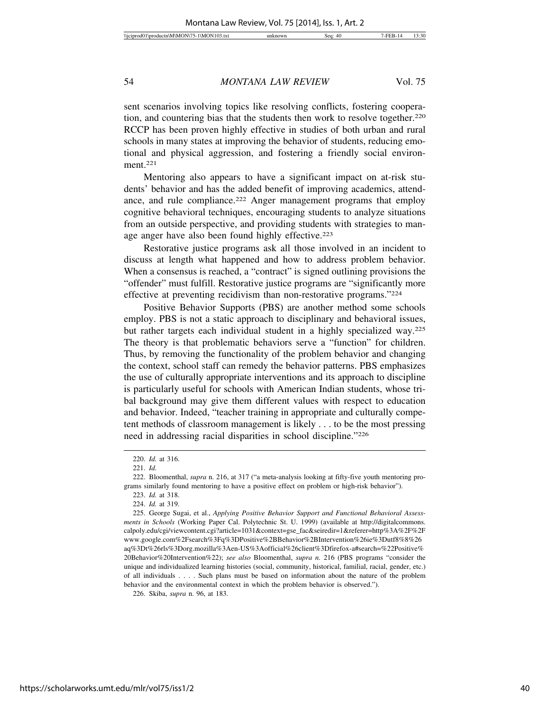sent scenarios involving topics like resolving conflicts, fostering cooperation, and countering bias that the students then work to resolve together.<sup>220</sup> RCCP has been proven highly effective in studies of both urban and rural schools in many states at improving the behavior of students, reducing emotional and physical aggression, and fostering a friendly social environment.221

Mentoring also appears to have a significant impact on at-risk students' behavior and has the added benefit of improving academics, attendance, and rule compliance.<sup>222</sup> Anger management programs that employ cognitive behavioral techniques, encouraging students to analyze situations from an outside perspective, and providing students with strategies to manage anger have also been found highly effective.<sup>223</sup>

Restorative justice programs ask all those involved in an incident to discuss at length what happened and how to address problem behavior. When a consensus is reached, a "contract" is signed outlining provisions the "offender" must fulfill. Restorative justice programs are "significantly more effective at preventing recidivism than non-restorative programs."224

Positive Behavior Supports (PBS) are another method some schools employ. PBS is not a static approach to disciplinary and behavioral issues, but rather targets each individual student in a highly specialized way.225 The theory is that problematic behaviors serve a "function" for children. Thus, by removing the functionality of the problem behavior and changing the context, school staff can remedy the behavior patterns. PBS emphasizes the use of culturally appropriate interventions and its approach to discipline is particularly useful for schools with American Indian students, whose tribal background may give them different values with respect to education and behavior. Indeed, "teacher training in appropriate and culturally competent methods of classroom management is likely . . . to be the most pressing need in addressing racial disparities in school discipline."226

<sup>220.</sup> *Id.* at 316.

<sup>221.</sup> *Id.*

<sup>222.</sup> Bloomenthal, *supra* n. 216, at 317 ("a meta-analysis looking at fifty-five youth mentoring programs similarly found mentoring to have a positive effect on problem or high-risk behavior").

<sup>223.</sup> *Id.* at 318.

<sup>224.</sup> *Id.* at 319.

<sup>225.</sup> George Sugai, et al., *Applying Positive Behavior Support and Functional Behavioral Assessments in Schools* (Working Paper Cal. Polytechnic St. U. 1999) (available at http://digitalcommons. calpoly.edu/cgi/viewcontent.cgi?article=1031&context=gse\_fac&seiredir=1&referer=http%3A%2F%2F www.google.com%2Fsearch%3Fq%3DPositive%2BBehavior%2BIntervention%26ie%3Dutf8%8%26 aq%3Dt%26rls%3Dorg.mozilla%3Aen-US%3Aofficial%26client%3Dfirefox-a#search=%22Positive% 20Behavior%20Intervention%22); *see also* Bloomenthal, *supra n.* 216 (PBS programs "consider the unique and individualized learning histories (social, community, historical, familial, racial, gender, etc.) of all individuals . . . . Such plans must be based on information about the nature of the problem behavior and the environmental context in which the problem behavior is observed.").

<sup>226.</sup> Skiba, *supra* n. 96, at 183.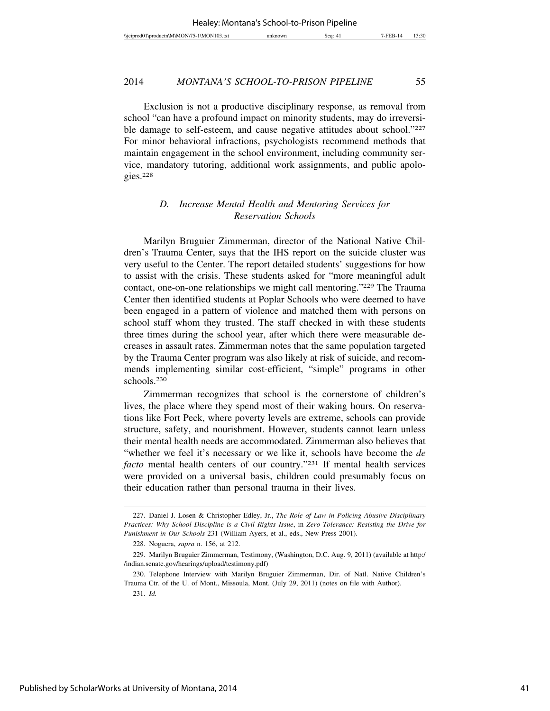Exclusion is not a productive disciplinary response, as removal from school "can have a profound impact on minority students, may do irreversible damage to self-esteem, and cause negative attitudes about school."227 For minor behavioral infractions, psychologists recommend methods that maintain engagement in the school environment, including community service, mandatory tutoring, additional work assignments, and public apologies.228

# *D. Increase Mental Health and Mentoring Services for Reservation Schools*

Marilyn Bruguier Zimmerman, director of the National Native Children's Trauma Center, says that the IHS report on the suicide cluster was very useful to the Center. The report detailed students' suggestions for how to assist with the crisis. These students asked for "more meaningful adult contact, one-on-one relationships we might call mentoring."229 The Trauma Center then identified students at Poplar Schools who were deemed to have been engaged in a pattern of violence and matched them with persons on school staff whom they trusted. The staff checked in with these students three times during the school year, after which there were measurable decreases in assault rates. Zimmerman notes that the same population targeted by the Trauma Center program was also likely at risk of suicide, and recommends implementing similar cost-efficient, "simple" programs in other schools.230

Zimmerman recognizes that school is the cornerstone of children's lives, the place where they spend most of their waking hours. On reservations like Fort Peck, where poverty levels are extreme, schools can provide structure, safety, and nourishment. However, students cannot learn unless their mental health needs are accommodated. Zimmerman also believes that "whether we feel it's necessary or we like it, schools have become the *de facto* mental health centers of our country."231 If mental health services were provided on a universal basis, children could presumably focus on their education rather than personal trauma in their lives.

<sup>227.</sup> Daniel J. Losen & Christopher Edley, Jr., *The Role of Law in Policing Abusive Disciplinary Practices: Why School Discipline is a Civil Rights Issue*, in *Zero Tolerance: Resisting the Drive for Punishment in Our Schools* 231 (William Ayers, et al., eds., New Press 2001).

<sup>228.</sup> Noguera, *supra* n. 156, at 212.

<sup>229.</sup> Marilyn Bruguier Zimmerman, Testimony, (Washington, D.C. Aug. 9, 2011) (available at http:/ /indian.senate.gov/hearings/upload/testimony.pdf)

<sup>230.</sup> Telephone Interview with Marilyn Bruguier Zimmerman, Dir. of Natl. Native Children's Trauma Ctr. of the U. of Mont., Missoula, Mont. (July 29, 2011) (notes on file with Author).

<sup>231.</sup> *Id.*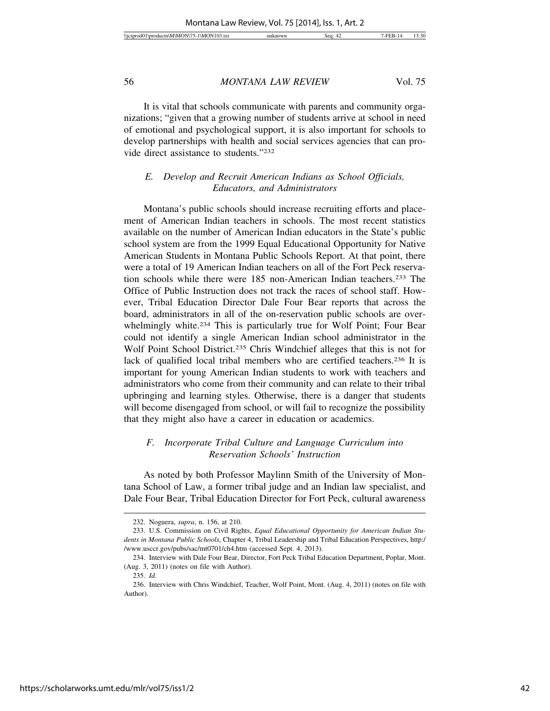| 7100<br>אר<br>$^{\prime}$ M.<br>'NNI<br>Wicipr<br>\NA'<br>١M<br>diam'r.<br>оансп<br>10 <i>5</i> .UXI<br>٠. | sec | 20<br>'اد:د. |
|------------------------------------------------------------------------------------------------------------|-----|--------------|

It is vital that schools communicate with parents and community organizations; "given that a growing number of students arrive at school in need of emotional and psychological support, it is also important for schools to develop partnerships with health and social services agencies that can provide direct assistance to students."232

# *E. Develop and Recruit American Indians as School Officials, Educators, and Administrators*

Montana's public schools should increase recruiting efforts and placement of American Indian teachers in schools. The most recent statistics available on the number of American Indian educators in the State's public school system are from the 1999 Equal Educational Opportunity for Native American Students in Montana Public Schools Report. At that point, there were a total of 19 American Indian teachers on all of the Fort Peck reservation schools while there were 185 non-American Indian teachers.233 The Office of Public Instruction does not track the races of school staff. However, Tribal Education Director Dale Four Bear reports that across the board, administrators in all of the on-reservation public schools are overwhelmingly white.<sup>234</sup> This is particularly true for Wolf Point; Four Bear could not identify a single American Indian school administrator in the Wolf Point School District.<sup>235</sup> Chris Windchief alleges that this is not for lack of qualified local tribal members who are certified teachers.<sup>236</sup> It is important for young American Indian students to work with teachers and administrators who come from their community and can relate to their tribal upbringing and learning styles. Otherwise, there is a danger that students will become disengaged from school, or will fail to recognize the possibility that they might also have a career in education or academics.

# *F. Incorporate Tribal Culture and Language Curriculum into Reservation Schools' Instruction*

As noted by both Professor Maylinn Smith of the University of Montana School of Law, a former tribal judge and an Indian law specialist, and Dale Four Bear, Tribal Education Director for Fort Peck, cultural awareness

<sup>232.</sup> Noguera, *supra*, n. 156, at 210.

<sup>233.</sup> U.S. Commission on Civil Rights, *Equal Educational Opportunity for American Indian Students in Montana Public Schools*, Chapter 4, Tribal Leadership and Tribal Education Perspectives, http:/ /www.usccr.gov/pubs/sac/mt0701/ch4.htm (accessed Sept. 4, 2013).

<sup>234.</sup> Interview with Dale Four Bear, Director, Fort Peck Tribal Education Department, Poplar, Mont. (Aug. 3, 2011) (notes on file with Author).

<sup>235.</sup> *Id.*

<sup>236.</sup> Interview with Chris Windchief, Teacher, Wolf Point, Mont. (Aug. 4, 2011) (notes on file with Author).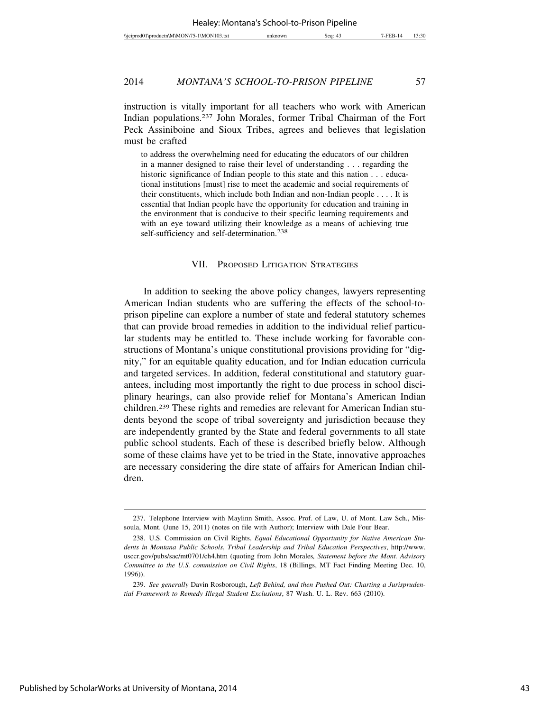instruction is vitally important for all teachers who work with American Indian populations.237 John Morales, former Tribal Chairman of the Fort Peck Assiniboine and Sioux Tribes, agrees and believes that legislation must be crafted

to address the overwhelming need for educating the educators of our children in a manner designed to raise their level of understanding . . . regarding the historic significance of Indian people to this state and this nation . . . educational institutions [must] rise to meet the academic and social requirements of their constituents, which include both Indian and non-Indian people . . . . It is essential that Indian people have the opportunity for education and training in the environment that is conducive to their specific learning requirements and with an eye toward utilizing their knowledge as a means of achieving true self-sufficiency and self-determination.<sup>238</sup>

#### VII. PROPOSED LITIGATION STRATEGIES

In addition to seeking the above policy changes, lawyers representing American Indian students who are suffering the effects of the school-toprison pipeline can explore a number of state and federal statutory schemes that can provide broad remedies in addition to the individual relief particular students may be entitled to. These include working for favorable constructions of Montana's unique constitutional provisions providing for "dignity," for an equitable quality education, and for Indian education curricula and targeted services. In addition, federal constitutional and statutory guarantees, including most importantly the right to due process in school disciplinary hearings, can also provide relief for Montana's American Indian children.239 These rights and remedies are relevant for American Indian students beyond the scope of tribal sovereignty and jurisdiction because they are independently granted by the State and federal governments to all state public school students. Each of these is described briefly below. Although some of these claims have yet to be tried in the State, innovative approaches are necessary considering the dire state of affairs for American Indian children.

<sup>237.</sup> Telephone Interview with Maylinn Smith, Assoc. Prof. of Law, U. of Mont. Law Sch., Missoula, Mont. (June 15, 2011) (notes on file with Author); Interview with Dale Four Bear.

<sup>238.</sup> U.S. Commission on Civil Rights, *Equal Educational Opportunity for Native American Students in Montana Public Schools*, *Tribal Leadership and Tribal Education Perspectives*, http://www. usccr.gov/pubs/sac/mt0701/ch4.htm (quoting from John Morales*, Statement before the Mont. Advisory Committee to the U.S. commission on Civil Rights*, 18 (Billings, MT Fact Finding Meeting Dec. 10, 1996)).

<sup>239.</sup> *See generally* Davin Rosborough, *Left Behind, and then Pushed Out: Charting a Jurisprudential Framework to Remedy Illegal Student Exclusions*, 87 Wash. U. L. Rev. 663 (2010).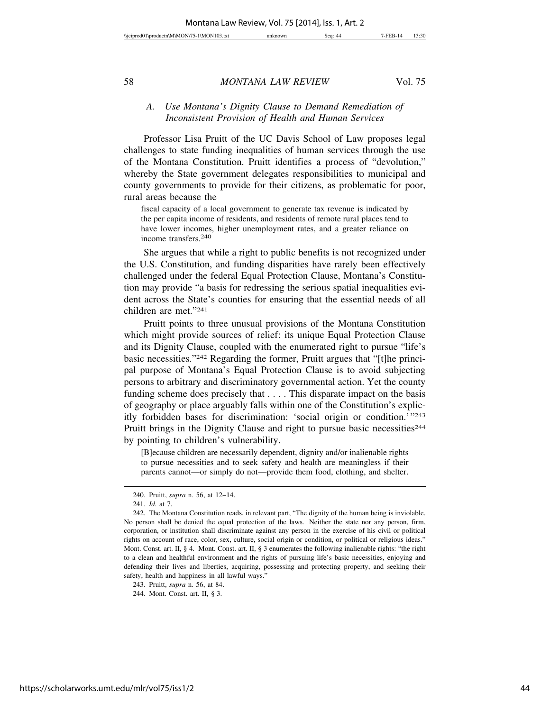# *A. Use Montana's Dignity Clause to Demand Remediation of Inconsistent Provision of Health and Human Services*

Professor Lisa Pruitt of the UC Davis School of Law proposes legal challenges to state funding inequalities of human services through the use of the Montana Constitution. Pruitt identifies a process of "devolution," whereby the State government delegates responsibilities to municipal and county governments to provide for their citizens, as problematic for poor, rural areas because the

fiscal capacity of a local government to generate tax revenue is indicated by the per capita income of residents, and residents of remote rural places tend to have lower incomes, higher unemployment rates, and a greater reliance on income transfers.240

She argues that while a right to public benefits is not recognized under the U.S. Constitution, and funding disparities have rarely been effectively challenged under the federal Equal Protection Clause, Montana's Constitution may provide "a basis for redressing the serious spatial inequalities evident across the State's counties for ensuring that the essential needs of all children are met."241

Pruitt points to three unusual provisions of the Montana Constitution which might provide sources of relief: its unique Equal Protection Clause and its Dignity Clause, coupled with the enumerated right to pursue "life's basic necessities."242 Regarding the former, Pruitt argues that "[t]he principal purpose of Montana's Equal Protection Clause is to avoid subjecting persons to arbitrary and discriminatory governmental action. Yet the county funding scheme does precisely that . . . . This disparate impact on the basis of geography or place arguably falls within one of the Constitution's explicitly forbidden bases for discrimination: 'social origin or condition.'"243 Pruitt brings in the Dignity Clause and right to pursue basic necessities<sup>244</sup> by pointing to children's vulnerability.

[B]ecause children are necessarily dependent, dignity and/or inalienable rights to pursue necessities and to seek safety and health are meaningless if their parents cannot—or simply do not—provide them food, clothing, and shelter.

<sup>240.</sup> Pruitt, *supra* n. 56, at 12–14.

<sup>241.</sup> *Id.* at 7.

<sup>242.</sup> The Montana Constitution reads, in relevant part, "The dignity of the human being is inviolable. No person shall be denied the equal protection of the laws. Neither the state nor any person, firm, corporation, or institution shall discriminate against any person in the exercise of his civil or political rights on account of race, color, sex, culture, social origin or condition, or political or religious ideas." Mont. Const. art. II, § 4. Mont. Const. art. II, § 3 enumerates the following inalienable rights: "the right to a clean and healthful environment and the rights of pursuing life's basic necessities, enjoying and defending their lives and liberties, acquiring, possessing and protecting property, and seeking their safety, health and happiness in all lawful ways."

<sup>243.</sup> Pruitt, *supra* n. 56, at 84.

<sup>244.</sup> Mont. Const. art. II, § 3.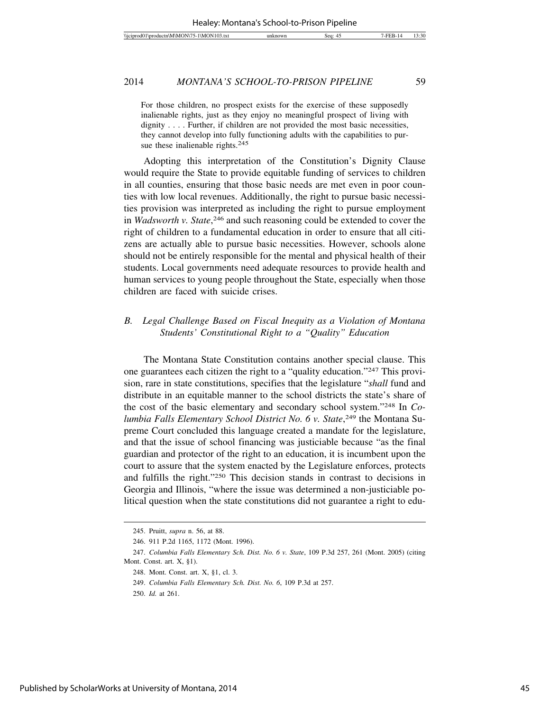For those children, no prospect exists for the exercise of these supposedly inalienable rights, just as they enjoy no meaningful prospect of living with dignity . . . . Further, if children are not provided the most basic necessities, they cannot develop into fully functioning adults with the capabilities to pursue these inalienable rights.<sup>245</sup>

Adopting this interpretation of the Constitution's Dignity Clause would require the State to provide equitable funding of services to children in all counties, ensuring that those basic needs are met even in poor counties with low local revenues. Additionally, the right to pursue basic necessities provision was interpreted as including the right to pursue employment in *Wadsworth v. State*, 246 and such reasoning could be extended to cover the right of children to a fundamental education in order to ensure that all citizens are actually able to pursue basic necessities. However, schools alone should not be entirely responsible for the mental and physical health of their students. Local governments need adequate resources to provide health and human services to young people throughout the State, especially when those children are faced with suicide crises.

# *B. Legal Challenge Based on Fiscal Inequity as a Violation of Montana Students' Constitutional Right to a "Quality" Education*

The Montana State Constitution contains another special clause. This one guarantees each citizen the right to a "quality education."247 This provision, rare in state constitutions, specifies that the legislature "*shall* fund and distribute in an equitable manner to the school districts the state's share of the cost of the basic elementary and secondary school system."248 In *Columbia Falls Elementary School District No. 6 v. State*, 249 the Montana Supreme Court concluded this language created a mandate for the legislature, and that the issue of school financing was justiciable because "as the final guardian and protector of the right to an education, it is incumbent upon the court to assure that the system enacted by the Legislature enforces, protects and fulfills the right."250 This decision stands in contrast to decisions in Georgia and Illinois, "where the issue was determined a non-justiciable political question when the state constitutions did not guarantee a right to edu-

<sup>245.</sup> Pruitt, *supra* n. 56, at 88.

<sup>246. 911</sup> P.2d 1165, 1172 (Mont. 1996).

<sup>247.</sup> *Columbia Falls Elementary Sch. Dist. No. 6 v. State*, 109 P.3d 257, 261 (Mont. 2005) (citing Mont. Const. art. X, §1).

<sup>248.</sup> Mont. Const. art. X, §1, cl. 3.

<sup>249.</sup> *Columbia Falls Elementary Sch. Dist. No. 6*, 109 P.3d at 257.

<sup>250.</sup> *Id.* at 261.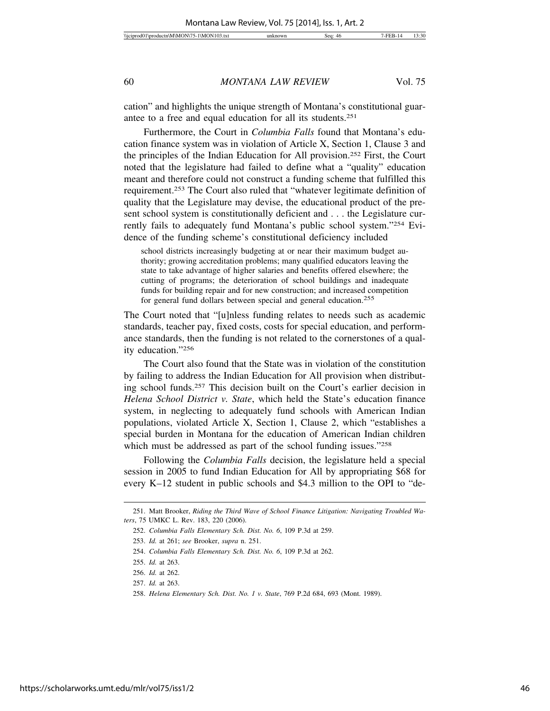cation" and highlights the unique strength of Montana's constitutional guarantee to a free and equal education for all its students.251

Furthermore, the Court in *Columbia Falls* found that Montana's education finance system was in violation of Article X, Section 1, Clause 3 and the principles of the Indian Education for All provision.252 First, the Court noted that the legislature had failed to define what a "quality" education meant and therefore could not construct a funding scheme that fulfilled this requirement.253 The Court also ruled that "whatever legitimate definition of quality that the Legislature may devise, the educational product of the present school system is constitutionally deficient and . . . the Legislature currently fails to adequately fund Montana's public school system."254 Evidence of the funding scheme's constitutional deficiency included

school districts increasingly budgeting at or near their maximum budget authority; growing accreditation problems; many qualified educators leaving the state to take advantage of higher salaries and benefits offered elsewhere; the cutting of programs; the deterioration of school buildings and inadequate funds for building repair and for new construction; and increased competition for general fund dollars between special and general education.255

The Court noted that "[u]nless funding relates to needs such as academic standards, teacher pay, fixed costs, costs for special education, and performance standards, then the funding is not related to the cornerstones of a quality education."256

The Court also found that the State was in violation of the constitution by failing to address the Indian Education for All provision when distributing school funds.257 This decision built on the Court's earlier decision in *Helena School District v. State*, which held the State's education finance system, in neglecting to adequately fund schools with American Indian populations, violated Article X, Section 1, Clause 2, which "establishes a special burden in Montana for the education of American Indian children which must be addressed as part of the school funding issues."258

Following the *Columbia Falls* decision, the legislature held a special session in 2005 to fund Indian Education for All by appropriating \$68 for every K–12 student in public schools and \$4.3 million to the OPI to "de-

<sup>251.</sup> Matt Brooker, *Riding the Third Wave of School Finance Litigation: Navigating Troubled Waters*, 75 UMKC L. Rev. 183, 220 (2006).

<sup>252.</sup> *Columbia Falls Elementary Sch. Dist. No. 6*, 109 P.3d at 259.

<sup>253.</sup> *Id.* at 261; *see* Brooker, *supra* n. 251.

<sup>254.</sup> *Columbia Falls Elementary Sch. Dist. No. 6*, 109 P.3d at 262.

<sup>255.</sup> *Id.* at 263.

<sup>256.</sup> *Id.* at 262.

<sup>257.</sup> *Id.* at 263.

<sup>258.</sup> *Helena Elementary Sch. Dist. No. 1 v. State*, 769 P.2d 684, 693 (Mont. 1989).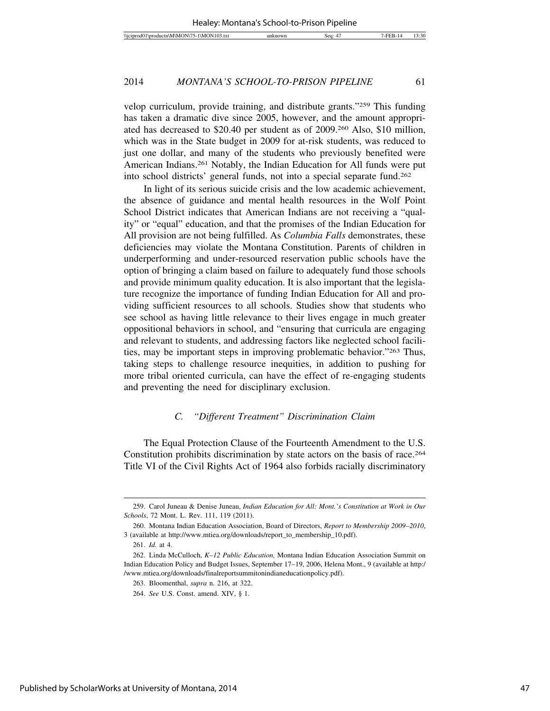velop curriculum, provide training, and distribute grants."259 This funding has taken a dramatic dive since 2005, however, and the amount appropriated has decreased to \$20.40 per student as of 2009.260 Also, \$10 million, which was in the State budget in 2009 for at-risk students, was reduced to just one dollar, and many of the students who previously benefited were American Indians.261 Notably, the Indian Education for All funds were put into school districts' general funds, not into a special separate fund.262

In light of its serious suicide crisis and the low academic achievement, the absence of guidance and mental health resources in the Wolf Point School District indicates that American Indians are not receiving a "quality" or "equal" education, and that the promises of the Indian Education for All provision are not being fulfilled. As *Columbia Falls* demonstrates, these deficiencies may violate the Montana Constitution. Parents of children in underperforming and under-resourced reservation public schools have the option of bringing a claim based on failure to adequately fund those schools and provide minimum quality education. It is also important that the legislature recognize the importance of funding Indian Education for All and providing sufficient resources to all schools. Studies show that students who see school as having little relevance to their lives engage in much greater oppositional behaviors in school, and "ensuring that curricula are engaging and relevant to students, and addressing factors like neglected school facilities, may be important steps in improving problematic behavior."263 Thus, taking steps to challenge resource inequities, in addition to pushing for more tribal oriented curricula, can have the effect of re-engaging students and preventing the need for disciplinary exclusion.

## *C. "Different Treatment" Discrimination Claim*

The Equal Protection Clause of the Fourteenth Amendment to the U.S. Constitution prohibits discrimination by state actors on the basis of race.264 Title VI of the Civil Rights Act of 1964 also forbids racially discriminatory

<sup>259.</sup> Carol Juneau & Denise Juneau, *Indian Education for All: Mont.'s Constitution at Work in Our Schools*, 72 Mont. L. Rev. 111, 119 (2011).

<sup>260.</sup> Montana Indian Education Association, Board of Directors, *Report to Membership 2009–2010*, 3 (available at http://www.mtiea.org/downloads/report\_to\_membership\_10.pdf).

<sup>261.</sup> *Id.* at 4.

<sup>262.</sup> Linda McCulloch, *K–12 Public Education,* Montana Indian Education Association Summit on Indian Education Policy and Budget Issues, September 17–19, 2006, Helena Mont., 9 (available at http:/ /www.mtiea.org/downloads/finalreportsummitonindianeducationpolicy.pdf).

<sup>263.</sup> Bloomenthal, *supra* n. 216, at 322.

<sup>264.</sup> *See* U.S. Const. amend. XIV, § 1.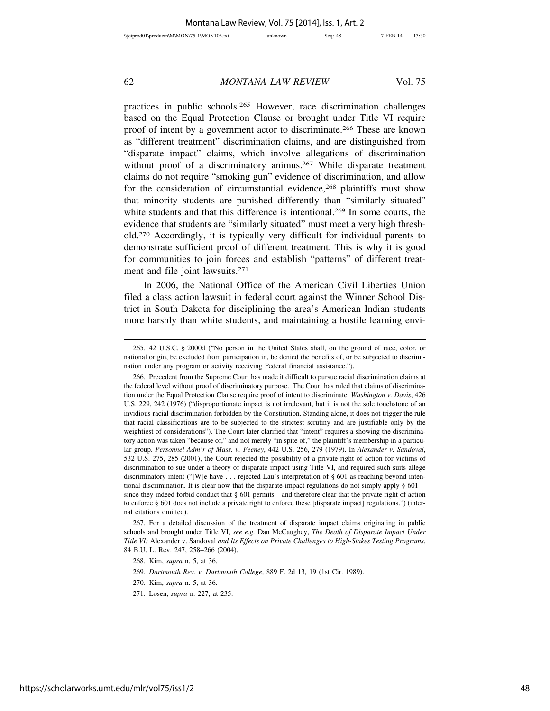practices in public schools.265 However, race discrimination challenges based on the Equal Protection Clause or brought under Title VI require proof of intent by a government actor to discriminate.266 These are known as "different treatment" discrimination claims, and are distinguished from "disparate impact" claims, which involve allegations of discrimination without proof of a discriminatory animus.<sup>267</sup> While disparate treatment claims do not require "smoking gun" evidence of discrimination, and allow for the consideration of circumstantial evidence,<sup>268</sup> plaintiffs must show that minority students are punished differently than "similarly situated" white students and that this difference is intentional.<sup>269</sup> In some courts, the evidence that students are "similarly situated" must meet a very high threshold.270 Accordingly, it is typically very difficult for individual parents to demonstrate sufficient proof of different treatment. This is why it is good for communities to join forces and establish "patterns" of different treatment and file joint lawsuits.271

In 2006, the National Office of the American Civil Liberties Union filed a class action lawsuit in federal court against the Winner School District in South Dakota for disciplining the area's American Indian students more harshly than white students, and maintaining a hostile learning envi-

267. For a detailed discussion of the treatment of disparate impact claims originating in public schools and brought under Title VI, *see e.g.* Dan McCaughey, *The Death of Disparate Impact Under Title VI:* Alexander v. Sandoval *and Its Effects on Private Challenges to High-Stakes Testing Programs*, 84 B.U. L. Rev. 247, 258–266 (2004).

271. Losen, *supra* n. 227, at 235.

<sup>265. 42</sup> U.S.C. § 2000d ("No person in the United States shall, on the ground of race, color, or national origin, be excluded from participation in, be denied the benefits of, or be subjected to discrimination under any program or activity receiving Federal financial assistance.").

<sup>266.</sup> Precedent from the Supreme Court has made it difficult to pursue racial discrimination claims at the federal level without proof of discriminatory purpose. The Court has ruled that claims of discrimination under the Equal Protection Clause require proof of intent to discriminate. *Washington v. Davis*, 426 U.S. 229, 242 (1976) ("disproportionate impact is not irrelevant, but it is not the sole touchstone of an invidious racial discrimination forbidden by the Constitution. Standing alone, it does not trigger the rule that racial classifications are to be subjected to the strictest scrutiny and are justifiable only by the weightiest of considerations"). The Court later clarified that "intent" requires a showing the discriminatory action was taken "because of," and not merely "in spite of," the plaintiff's membership in a particular group. *Personnel Adm'r of Mass. v. Feeney*, 442 U.S. 256, 279 (1979). In *Alexander v. Sandoval*, 532 U.S. 275, 285 (2001), the Court rejected the possibility of a private right of action for victims of discrimination to sue under a theory of disparate impact using Title VI, and required such suits allege discriminatory intent ("[W]e have . . . rejected Lau's interpretation of § 601 as reaching beyond intentional discrimination. It is clear now that the disparate-impact regulations do not simply apply § 601 since they indeed forbid conduct that § 601 permits—and therefore clear that the private right of action to enforce § 601 does not include a private right to enforce these [disparate impact] regulations.") (internal citations omitted).

<sup>268.</sup> Kim, *supra* n. 5, at 36.

<sup>269.</sup> *Dartmouth Rev. v. Dartmouth College*, 889 F. 2d 13, 19 (1st Cir. 1989).

<sup>270.</sup> Kim, *supra* n. 5, at 36.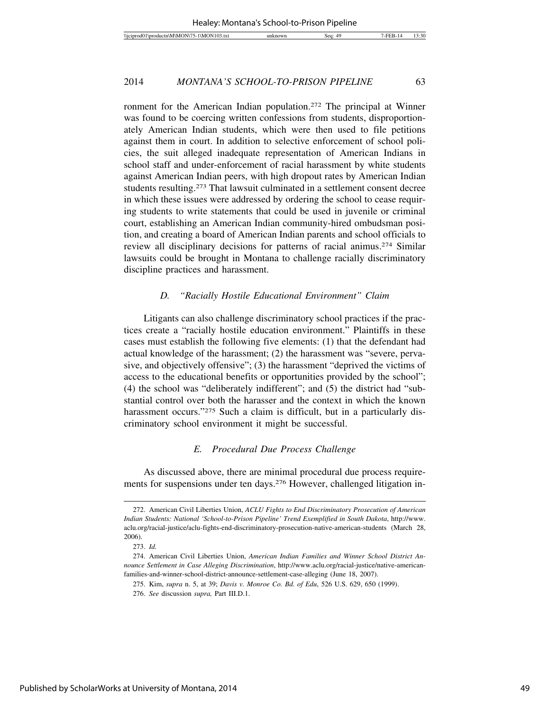ronment for the American Indian population.272 The principal at Winner was found to be coercing written confessions from students, disproportionately American Indian students, which were then used to file petitions against them in court. In addition to selective enforcement of school policies, the suit alleged inadequate representation of American Indians in school staff and under-enforcement of racial harassment by white students against American Indian peers, with high dropout rates by American Indian students resulting.273 That lawsuit culminated in a settlement consent decree in which these issues were addressed by ordering the school to cease requiring students to write statements that could be used in juvenile or criminal court, establishing an American Indian community-hired ombudsman position, and creating a board of American Indian parents and school officials to review all disciplinary decisions for patterns of racial animus.274 Similar lawsuits could be brought in Montana to challenge racially discriminatory discipline practices and harassment.

#### *D. "Racially Hostile Educational Environment" Claim*

Litigants can also challenge discriminatory school practices if the practices create a "racially hostile education environment." Plaintiffs in these cases must establish the following five elements: (1) that the defendant had actual knowledge of the harassment; (2) the harassment was "severe, pervasive, and objectively offensive"; (3) the harassment "deprived the victims of access to the educational benefits or opportunities provided by the school"; (4) the school was "deliberately indifferent"; and (5) the district had "substantial control over both the harasser and the context in which the known harassment occurs."<sup>275</sup> Such a claim is difficult, but in a particularly discriminatory school environment it might be successful.

## *E. Procedural Due Process Challenge*

As discussed above, there are minimal procedural due process requirements for suspensions under ten days.276 However, challenged litigation in-

<sup>272.</sup> American Civil Liberties Union, *ACLU Fights to End Discriminatory Prosecution of American Indian Students: National 'School-to-Prison Pipeline' Trend Exemplified in South Dakota*, http://www. aclu.org/racial-justice/aclu-fights-end-discriminatory-prosecution-native-american-students (March 28, 2006).

<sup>273.</sup> *Id.*

<sup>274.</sup> American Civil Liberties Union, *American Indian Families and Winner School District Announce Settlement in Case Alleging Discrimination*, http://www.aclu.org/racial-justice/native-americanfamilies-and-winner-school-district-announce-settlement-case-alleging (June 18, 2007).

<sup>275.</sup> Kim, *supra* n. 5, at 39; *Davis v. Monroe Co. Bd. of Edu*, 526 U.S. 629, 650 (1999).

<sup>276.</sup> *See* discussion *supra,* Part III.D.1.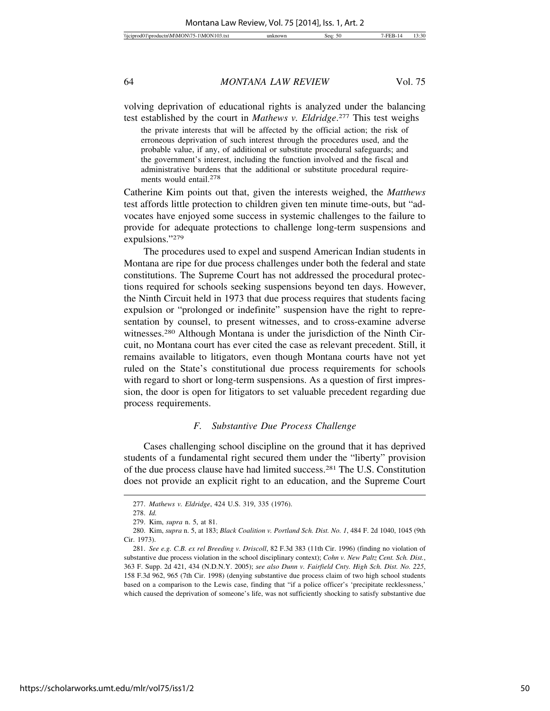volving deprivation of educational rights is analyzed under the balancing test established by the court in *Mathews v. Eldridge*. 277 This test weighs

the private interests that will be affected by the official action; the risk of erroneous deprivation of such interest through the procedures used, and the probable value, if any, of additional or substitute procedural safeguards; and the government's interest, including the function involved and the fiscal and administrative burdens that the additional or substitute procedural requirements would entail.278

Catherine Kim points out that, given the interests weighed, the *Matthews* test affords little protection to children given ten minute time-outs, but "advocates have enjoyed some success in systemic challenges to the failure to provide for adequate protections to challenge long-term suspensions and expulsions."279

The procedures used to expel and suspend American Indian students in Montana are ripe for due process challenges under both the federal and state constitutions. The Supreme Court has not addressed the procedural protections required for schools seeking suspensions beyond ten days. However, the Ninth Circuit held in 1973 that due process requires that students facing expulsion or "prolonged or indefinite" suspension have the right to representation by counsel, to present witnesses, and to cross-examine adverse witnesses.280 Although Montana is under the jurisdiction of the Ninth Circuit, no Montana court has ever cited the case as relevant precedent. Still, it remains available to litigators, even though Montana courts have not yet ruled on the State's constitutional due process requirements for schools with regard to short or long-term suspensions. As a question of first impression, the door is open for litigators to set valuable precedent regarding due process requirements.

#### *F. Substantive Due Process Challenge*

Cases challenging school discipline on the ground that it has deprived students of a fundamental right secured them under the "liberty" provision of the due process clause have had limited success.281 The U.S. Constitution does not provide an explicit right to an education, and the Supreme Court

https://scholarworks.umt.edu/mlr/vol75/iss1/2

50

<sup>277.</sup> *Mathews v. Eldridge*, 424 U.S. 319, 335 (1976).

<sup>278.</sup> *Id.*

<sup>279.</sup> Kim, *supra* n. 5, at 81.

<sup>280.</sup> Kim, *supra* n. 5, at 183; *Black Coalition v. Portland Sch. Dist. No. 1*, 484 F. 2d 1040, 1045 (9th Cir. 1973).

<sup>281.</sup> *See e.g. C.B. ex rel Breeding v. Driscoll*, 82 F.3d 383 (11th Cir. 1996) (finding no violation of substantive due process violation in the school disciplinary context); *Cohn v. New Paltz Cent. Sch. Dist.*, 363 F. Supp. 2d 421, 434 (N.D.N.Y. 2005); *see also Dunn v. Fairfield Cnty. High Sch. Dist. No. 225*, 158 F.3d 962, 965 (7th Cir. 1998) (denying substantive due process claim of two high school students based on a comparison to the Lewis case, finding that "if a police officer's 'precipitate recklessness,' which caused the deprivation of someone's life, was not sufficiently shocking to satisfy substantive due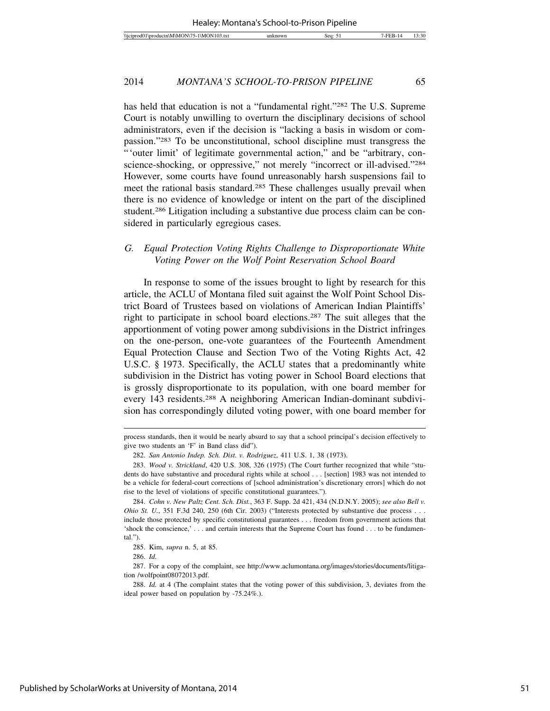has held that education is not a "fundamental right."282 The U.S. Supreme Court is notably unwilling to overturn the disciplinary decisions of school administrators, even if the decision is "lacking a basis in wisdom or compassion."283 To be unconstitutional, school discipline must transgress the "'outer limit' of legitimate governmental action," and be "arbitrary, conscience-shocking, or oppressive," not merely "incorrect or ill-advised."<sup>284</sup> However, some courts have found unreasonably harsh suspensions fail to meet the rational basis standard.285 These challenges usually prevail when there is no evidence of knowledge or intent on the part of the disciplined student.286 Litigation including a substantive due process claim can be considered in particularly egregious cases.

# *G. Equal Protection Voting Rights Challenge to Disproportionate White Voting Power on the Wolf Point Reservation School Board*

In response to some of the issues brought to light by research for this article, the ACLU of Montana filed suit against the Wolf Point School District Board of Trustees based on violations of American Indian Plaintiffs' right to participate in school board elections.287 The suit alleges that the apportionment of voting power among subdivisions in the District infringes on the one-person, one-vote guarantees of the Fourteenth Amendment Equal Protection Clause and Section Two of the Voting Rights Act, 42 U.S.C. § 1973. Specifically, the ACLU states that a predominantly white subdivision in the District has voting power in School Board elections that is grossly disproportionate to its population, with one board member for every 143 residents.288 A neighboring American Indian-dominant subdivision has correspondingly diluted voting power, with one board member for

285. Kim, *supra* n. 5, at 85.

process standards, then it would be nearly absurd to say that a school principal's decision effectively to give two students an 'F' in Band class did").

<sup>282.</sup> *San Antonio Indep. Sch. Dist. v. Rodriguez*, 411 U.S. 1, 38 (1973).

<sup>283.</sup> *Wood v. Strickland*, 420 U.S. 308, 326 (1975) (The Court further recognized that while "students do have substantive and procedural rights while at school . . . [section] 1983 was not intended to be a vehicle for federal-court corrections of [school administration's discretionary errors] which do not rise to the level of violations of specific constitutional guarantees.").

<sup>284.</sup> *Cohn v. New Paltz Cent. Sch. Dist.*, 363 F. Supp. 2d 421, 434 (N.D.N.Y. 2005); *see also Bell v. Ohio St. U.*, 351 F.3d 240, 250 (6th Cir. 2003) ("Interests protected by substantive due process . . . include those protected by specific constitutional guarantees . . . freedom from government actions that 'shock the conscience,' . . . and certain interests that the Supreme Court has found . . . to be fundamental.").

<sup>286.</sup> *Id.*

<sup>287.</sup> For a copy of the complaint, see http://www.aclumontana.org/images/stories/documents/litigation /wolfpoint08072013.pdf.

<sup>288.</sup> *Id.* at 4 (The complaint states that the voting power of this subdivision, 3, deviates from the ideal power based on population by -75.24%.).